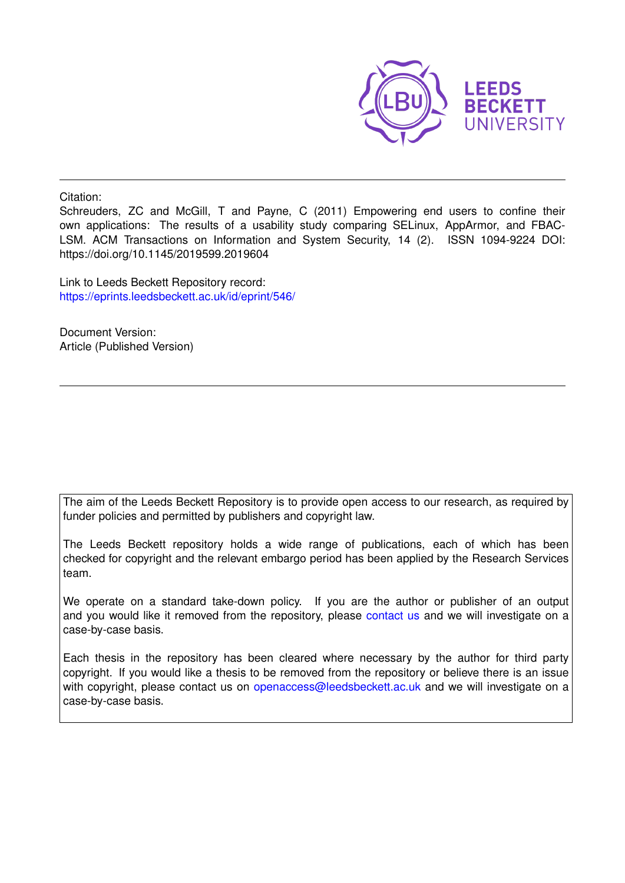

Citation:

Schreuders, ZC and McGill, T and Payne, C (2011) Empowering end users to confine their own applications: The results of a usability study comparing SELinux, AppArmor, and FBAC-LSM. ACM Transactions on Information and System Security, 14 (2). ISSN 1094-9224 DOI: https://doi.org/10.1145/2019599.2019604

Link to Leeds Beckett Repository record: <https://eprints.leedsbeckett.ac.uk/id/eprint/546/>

Document Version: Article (Published Version)

The aim of the Leeds Beckett Repository is to provide open access to our research, as required by funder policies and permitted by publishers and copyright law.

The Leeds Beckett repository holds a wide range of publications, each of which has been checked for copyright and the relevant embargo period has been applied by the Research Services team.

We operate on a standard take-down policy. If you are the author or publisher of an output and you would like it removed from the repository, please [contact us](mailto:openaccess@leedsbeckett.ac.uk) and we will investigate on a case-by-case basis.

Each thesis in the repository has been cleared where necessary by the author for third party copyright. If you would like a thesis to be removed from the repository or believe there is an issue with copyright, please contact us on [openaccess@leedsbeckett.ac.uk](mailto:openaccess@leedsbeckett.ac.uk) and we will investigate on a case-by-case basis.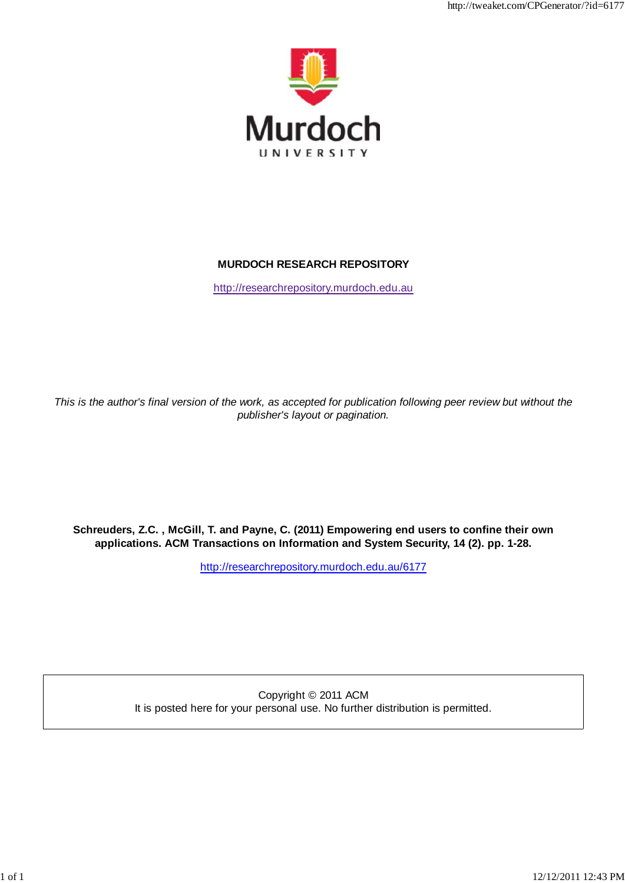

http://tweaket.com/CPGenerator/20177-10177-10177-10177-10177-10177-10177-10177-10177-10177-10177-1017

# **MURDOCH RESEARCH REPOSITORY**

http://researchrepository.murdoch.edu.au

*This is the author's final version of the work, as accepted for publication following peer review but without the publisher's layout or pagination.*

**Schreuders, Z.C. , McGill, T. and Payne, C. (2011) Empowering end users to confine their own applications. ACM Transactions on Information and System Security, 14 (2). pp. 1-28.**

http://researchrepository.murdoch.edu.au/6177

Copyright © 2011 ACM It is posted here for your personal use. No further distribution is permitted.

1 of 1 12/12/2011 12:43 PM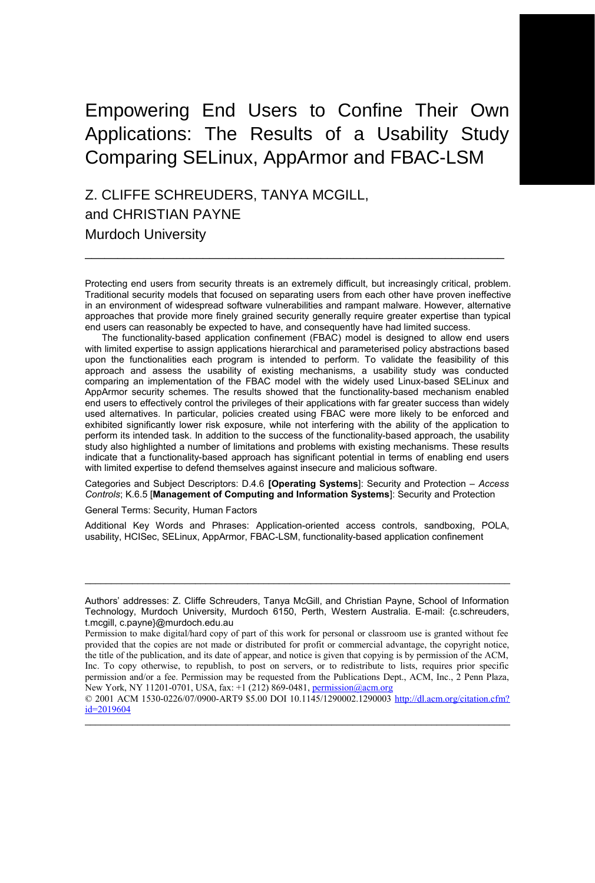# Empowering End Users to Confine Their Own Applications: The Results of a Usability Study Comparing SELinux, AppArmor and FBAC-LSM

Z. CLIFFE SCHREUDERS, TANYA MCGILL, and CHRISTIAN PAYNE Murdoch University

Protecting end users from security threats is an extremely difficult, but increasingly critical, problem. Traditional security models that focused on separating users from each other have proven ineffective in an environment of widespread software vulnerabilities and rampant malware. However, alternative approaches that provide more finely grained security generally require greater expertise than typical end users can reasonably be expected to have, and consequently have had limited success.

\_\_\_\_\_\_\_\_\_\_\_\_\_\_\_\_\_\_\_\_\_\_\_\_\_\_\_\_\_\_\_\_\_\_\_\_\_\_\_\_\_\_\_\_\_\_\_\_\_\_\_\_\_\_\_\_\_\_\_\_\_\_\_\_

The functionality-based application confinement (FBAC) model is designed to allow end users with limited expertise to assign applications hierarchical and parameterised policy abstractions based upon the functionalities each program is intended to perform. To validate the feasibility of this approach and assess the usability of existing mechanisms, a usability study was conducted comparing an implementation of the FBAC model with the widely used Linux-based SELinux and AppArmor security schemes. The results showed that the functionality-based mechanism enabled end users to effectively control the privileges of their applications with far greater success than widely used alternatives. In particular, policies created using FBAC were more likely to be enforced and exhibited significantly lower risk exposure, while not interfering with the ability of the application to perform its intended task. In addition to the success of the functionality-based approach, the usability study also highlighted a number of limitations and problems with existing mechanisms. These results indicate that a functionality-based approach has significant potential in terms of enabling end users with limited expertise to defend themselves against insecure and malicious software.

Categories and Subject Descriptors: D.4.6 **[Operating Systems**]: Security and Protection – *Access Controls*; K.6.5 [**Management of Computing and Information Systems**]: Security and Protection

General Terms: Security, Human Factors

Additional Key Words and Phrases: Application-oriented access controls, sandboxing, POLA, usability, HCISec, SELinux, AppArmor, FBAC-LSM, functionality-based application confinement

 $\mathcal{L}_\mathcal{L} = \{ \mathcal{L}_\mathcal{L} = \{ \mathcal{L}_\mathcal{L} = \{ \mathcal{L}_\mathcal{L} = \{ \mathcal{L}_\mathcal{L} = \{ \mathcal{L}_\mathcal{L} = \{ \mathcal{L}_\mathcal{L} = \{ \mathcal{L}_\mathcal{L} = \{ \mathcal{L}_\mathcal{L} = \{ \mathcal{L}_\mathcal{L} = \{ \mathcal{L}_\mathcal{L} = \{ \mathcal{L}_\mathcal{L} = \{ \mathcal{L}_\mathcal{L} = \{ \mathcal{L}_\mathcal{L} = \{ \mathcal{L}_\mathcal{$ 

© 2001 ACM 1530-0226/07/0900-ART9 \$5.00 DOI 10.1145/1290002.1290003 [http://dl.acm.org/citation.cfm?](http://dl.acm.org/citation.cfm?id=2019604) [id=2019604](http://dl.acm.org/citation.cfm?id=2019604)  $\mathcal{L}_\mathcal{L} = \{ \mathcal{L}_\mathcal{L} = \{ \mathcal{L}_\mathcal{L} = \{ \mathcal{L}_\mathcal{L} = \{ \mathcal{L}_\mathcal{L} = \{ \mathcal{L}_\mathcal{L} = \{ \mathcal{L}_\mathcal{L} = \{ \mathcal{L}_\mathcal{L} = \{ \mathcal{L}_\mathcal{L} = \{ \mathcal{L}_\mathcal{L} = \{ \mathcal{L}_\mathcal{L} = \{ \mathcal{L}_\mathcal{L} = \{ \mathcal{L}_\mathcal{L} = \{ \mathcal{L}_\mathcal{L} = \{ \mathcal{L}_\mathcal{$ 

Authors' addresses: Z. Cliffe Schreuders, Tanya McGill, and Christian Payne, School of Information Technology, Murdoch University, Murdoch 6150, Perth, Western Australia. E-mail: {c.schreuders, t.mcgill, c.payne}@murdoch.edu.au

Permission to make digital/hard copy of part of this work for personal or classroom use is granted without fee provided that the copies are not made or distributed for profit or commercial advantage, the copyright notice, the title of the publication, and its date of appear, and notice is given that copying is by permission of the ACM, Inc. To copy otherwise, to republish, to post on servers, or to redistribute to lists, requires prior specific permission and/or a fee. Permission may be requested from the Publications Dept., ACM, Inc., 2 Penn Plaza, New York, NY 11201-0701, USA, fax: +1 (212) 869-0481, [permission@acm.org](mailto:permission@acm.org)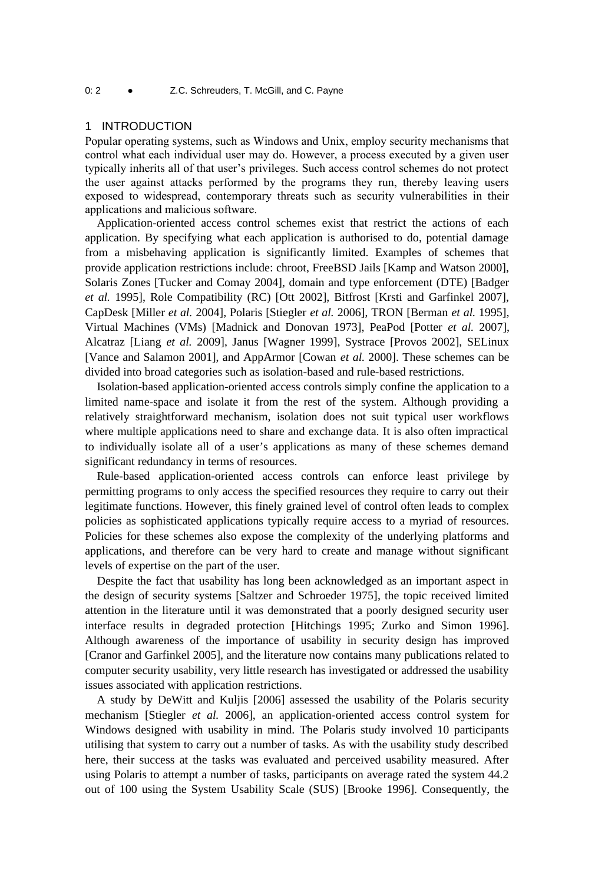#### 1 INTRODUCTION

Popular operating systems, such as Windows and Unix, employ security mechanisms that control what each individual user may do. However, a process executed by a given user typically inherits all of that user's privileges. Such access control schemes do not protect the user against attacks performed by the programs they run, thereby leaving users exposed to widespread, contemporary threats such as security vulnerabilities in their applications and malicious software.

Application-oriented access control schemes exist that restrict the actions of each application. By specifying what each application is authorised to do, potential damage from a misbehaving application is significantly limited. Examples of schemes that provide application restrictions include: chroot, FreeBSD Jails [Kamp and Watson 2000], Solaris Zones [Tucker and Comay 2004], domain and type enforcement (DTE) [Badger *et al.* 1995], Role Compatibility (RC) [Ott 2002], Bitfrost [Krsti and Garfinkel 2007], CapDesk [Miller *et al.* 2004], Polaris [Stiegler *et al.* 2006], TRON [Berman *et al.* 1995], Virtual Machines (VMs) [Madnick and Donovan 1973], PeaPod [Potter *et al.* 2007], Alcatraz [Liang *et al.* 2009], Janus [Wagner 1999], Systrace [Provos 2002], SELinux [Vance and Salamon 2001], and AppArmor [Cowan *et al.* 2000]. These schemes can be divided into broad categories such as isolation-based and rule-based restrictions.

Isolation-based application-oriented access controls simply confine the application to a limited name-space and isolate it from the rest of the system. Although providing a relatively straightforward mechanism, isolation does not suit typical user workflows where multiple applications need to share and exchange data. It is also often impractical to individually isolate all of a user's applications as many of these schemes demand significant redundancy in terms of resources.

Rule-based application-oriented access controls can enforce least privilege by permitting programs to only access the specified resources they require to carry out their legitimate functions. However, this finely grained level of control often leads to complex policies as sophisticated applications typically require access to a myriad of resources. Policies for these schemes also expose the complexity of the underlying platforms and applications, and therefore can be very hard to create and manage without significant levels of expertise on the part of the user.

Despite the fact that usability has long been acknowledged as an important aspect in the design of security systems [Saltzer and Schroeder 1975], the topic received limited attention in the literature until it was demonstrated that a poorly designed security user interface results in degraded protection [Hitchings 1995; Zurko and Simon 1996]. Although awareness of the importance of usability in security design has improved [Cranor and Garfinkel 2005], and the literature now contains many publications related to computer security usability, very little research has investigated or addressed the usability issues associated with application restrictions.

A study by DeWitt and Kuljis [2006] assessed the usability of the Polaris security mechanism [Stiegler *et al.* 2006], an application-oriented access control system for Windows designed with usability in mind. The Polaris study involved 10 participants utilising that system to carry out a number of tasks. As with the usability study described here, their success at the tasks was evaluated and perceived usability measured. After using Polaris to attempt a number of tasks, participants on average rated the system 44.2 out of 100 using the System Usability Scale (SUS) [Brooke 1996]. Consequently, the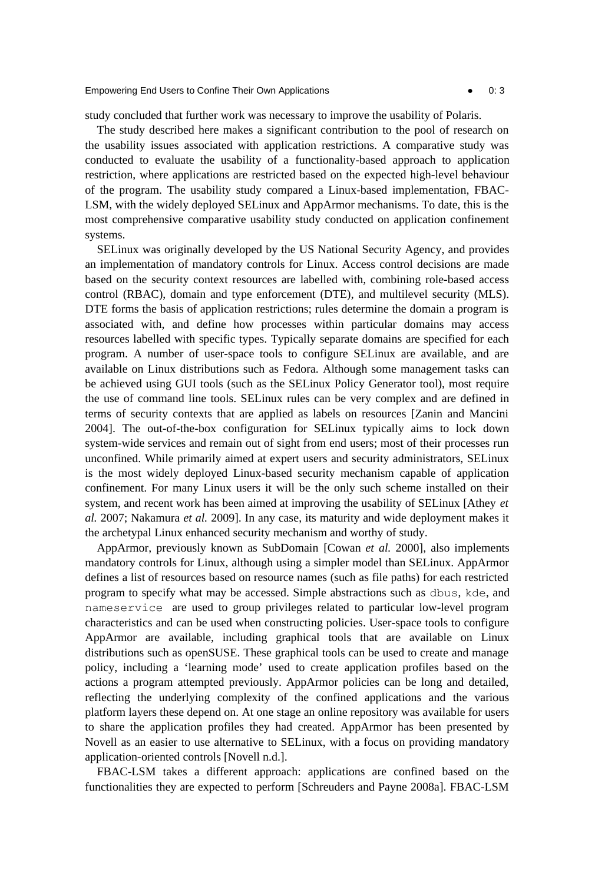study concluded that further work was necessary to improve the usability of Polaris.

The study described here makes a significant contribution to the pool of research on the usability issues associated with application restrictions. A comparative study was conducted to evaluate the usability of a functionality-based approach to application restriction, where applications are restricted based on the expected high-level behaviour of the program. The usability study compared a Linux-based implementation, FBAC-LSM, with the widely deployed SELinux and AppArmor mechanisms. To date, this is the most comprehensive comparative usability study conducted on application confinement systems.

SELinux was originally developed by the US National Security Agency, and provides an implementation of mandatory controls for Linux. Access control decisions are made based on the security context resources are labelled with, combining role-based access control (RBAC), domain and type enforcement (DTE), and multilevel security (MLS). DTE forms the basis of application restrictions; rules determine the domain a program is associated with, and define how processes within particular domains may access resources labelled with specific types. Typically separate domains are specified for each program. A number of user-space tools to configure SELinux are available, and are available on Linux distributions such as Fedora. Although some management tasks can be achieved using GUI tools (such as the SELinux Policy Generator tool), most require the use of command line tools. SELinux rules can be very complex and are defined in terms of security contexts that are applied as labels on resources [Zanin and Mancini 2004]. The out-of-the-box configuration for SELinux typically aims to lock down system-wide services and remain out of sight from end users; most of their processes run unconfined. While primarily aimed at expert users and security administrators, SELinux is the most widely deployed Linux-based security mechanism capable of application confinement. For many Linux users it will be the only such scheme installed on their system, and recent work has been aimed at improving the usability of SELinux [Athey *et al.* 2007; Nakamura *et al.* 2009]. In any case, its maturity and wide deployment makes it the archetypal Linux enhanced security mechanism and worthy of study.

AppArmor, previously known as SubDomain [Cowan *et al.* 2000], also implements mandatory controls for Linux, although using a simpler model than SELinux. AppArmor defines a list of resources based on resource names (such as file paths) for each restricted program to specify what may be accessed. Simple abstractions such as dbus, kde, and nameservice are used to group privileges related to particular low-level program characteristics and can be used when constructing policies. User-space tools to configure AppArmor are available, including graphical tools that are available on Linux distributions such as openSUSE. These graphical tools can be used to create and manage policy, including a 'learning mode' used to create application profiles based on the actions a program attempted previously. AppArmor policies can be long and detailed, reflecting the underlying complexity of the confined applications and the various platform layers these depend on. At one stage an online repository was available for users to share the application profiles they had created. AppArmor has been presented by Novell as an easier to use alternative to SELinux, with a focus on providing mandatory application-oriented controls [Novell n.d.].

FBAC-LSM takes a different approach: applications are confined based on the functionalities they are expected to perform [Schreuders and Payne 2008a]. FBAC-LSM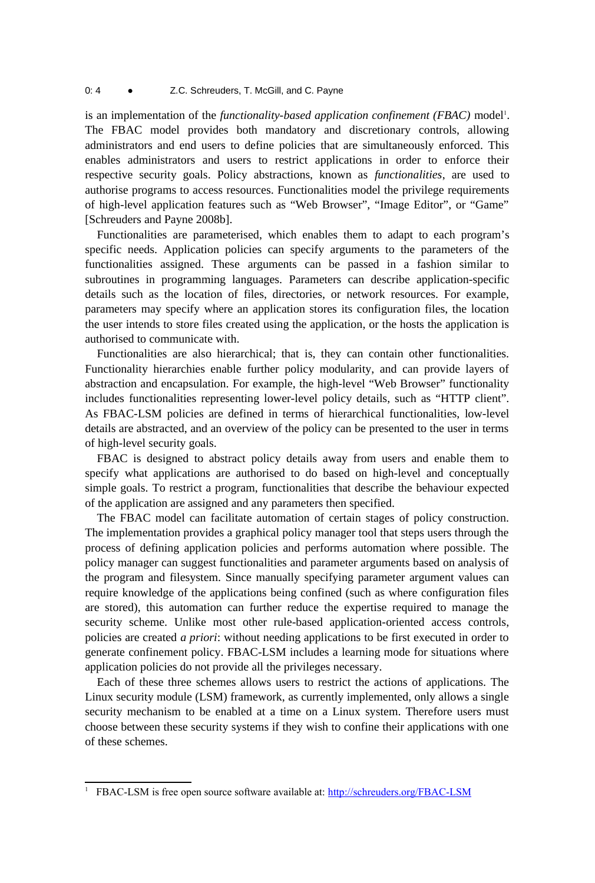is an implementation of the *functionality-based application confinement (FBAC)* model<sup>[1](#page-5-0)</sup>. The FBAC model provides both mandatory and discretionary controls, allowing administrators and end users to define policies that are simultaneously enforced. This enables administrators and users to restrict applications in order to enforce their respective security goals. Policy abstractions, known as *functionalities*, are used to authorise programs to access resources. Functionalities model the privilege requirements of high-level application features such as "Web Browser", "Image Editor", or "Game" [Schreuders and Payne 2008b].

Functionalities are parameterised, which enables them to adapt to each program's specific needs. Application policies can specify arguments to the parameters of the functionalities assigned. These arguments can be passed in a fashion similar to subroutines in programming languages. Parameters can describe application-specific details such as the location of files, directories, or network resources. For example, parameters may specify where an application stores its configuration files, the location the user intends to store files created using the application, or the hosts the application is authorised to communicate with.

Functionalities are also hierarchical; that is, they can contain other functionalities. Functionality hierarchies enable further policy modularity, and can provide layers of abstraction and encapsulation. For example, the high-level "Web Browser" functionality includes functionalities representing lower-level policy details, such as "HTTP client". As FBAC-LSM policies are defined in terms of hierarchical functionalities, low-level details are abstracted, and an overview of the policy can be presented to the user in terms of high-level security goals.

FBAC is designed to abstract policy details away from users and enable them to specify what applications are authorised to do based on high-level and conceptually simple goals. To restrict a program, functionalities that describe the behaviour expected of the application are assigned and any parameters then specified.

The FBAC model can facilitate automation of certain stages of policy construction. The implementation provides a graphical policy manager tool that steps users through the process of defining application policies and performs automation where possible. The policy manager can suggest functionalities and parameter arguments based on analysis of the program and filesystem. Since manually specifying parameter argument values can require knowledge of the applications being confined (such as where configuration files are stored), this automation can further reduce the expertise required to manage the security scheme. Unlike most other rule-based application-oriented access controls, policies are created *a priori*: without needing applications to be first executed in order to generate confinement policy. FBAC-LSM includes a learning mode for situations where application policies do not provide all the privileges necessary.

Each of these three schemes allows users to restrict the actions of applications. The Linux security module (LSM) framework, as currently implemented, only allows a single security mechanism to be enabled at a time on a Linux system. Therefore users must choose between these security systems if they wish to confine their applications with one of these schemes.

<span id="page-5-0"></span><sup>&</sup>lt;sup>1</sup> FBAC-LSM is free open source software available at: [http://schreuders.org/FBAC-LSM](http://www.schreuders.org/FBAC-LSM)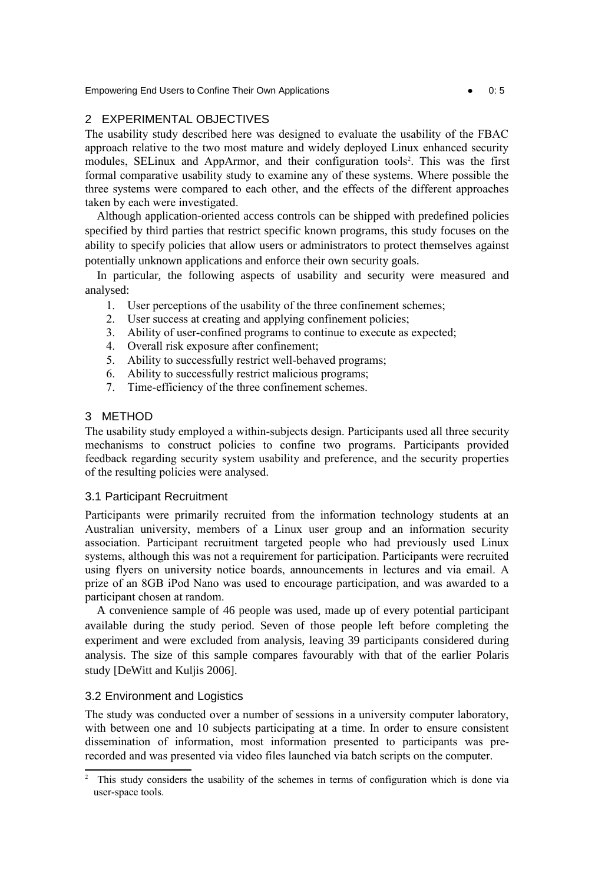# 2 EXPERIMENTAL OBJECTIVES

The usability study described here was designed to evaluate the usability of the FBAC approach relative to the two most mature and widely deployed Linux enhanced security modules, SELinux and AppArmor, and their configuration tools<sup>[2](#page-6-0)</sup>. This was the first formal comparative usability study to examine any of these systems. Where possible the three systems were compared to each other, and the effects of the different approaches taken by each were investigated.

Although application-oriented access controls can be shipped with predefined policies specified by third parties that restrict specific known programs, this study focuses on the ability to specify policies that allow users or administrators to protect themselves against potentially unknown applications and enforce their own security goals.

In particular, the following aspects of usability and security were measured and analysed:

- 1. User perceptions of the usability of the three confinement schemes;
- 2. User success at creating and applying confinement policies;
- 3. Ability of user-confined programs to continue to execute as expected;
- 4. Overall risk exposure after confinement;
- 5. Ability to successfully restrict well-behaved programs;
- 6. Ability to successfully restrict malicious programs;
- 7. Time-efficiency of the three confinement schemes.

# 3 METHOD

The usability study employed a within-subjects design. Participants used all three security mechanisms to construct policies to confine two programs. Participants provided feedback regarding security system usability and preference, and the security properties of the resulting policies were analysed.

#### 3.1 Participant Recruitment

Participants were primarily recruited from the information technology students at an Australian university, members of a Linux user group and an information security association. Participant recruitment targeted people who had previously used Linux systems, although this was not a requirement for participation. Participants were recruited using flyers on university notice boards, announcements in lectures and via email. A prize of an 8GB iPod Nano was used to encourage participation, and was awarded to a participant chosen at random.

A convenience sample of 46 people was used, made up of every potential participant available during the study period. Seven of those people left before completing the experiment and were excluded from analysis, leaving 39 participants considered during analysis. The size of this sample compares favourably with that of the earlier Polaris study [DeWitt and Kuljis 2006].

# 3.2 Environment and Logistics

The study was conducted over a number of sessions in a university computer laboratory, with between one and 10 subjects participating at a time. In order to ensure consistent dissemination of information, most information presented to participants was prerecorded and was presented via video files launched via batch scripts on the computer.

<span id="page-6-0"></span><sup>&</sup>lt;sup>2</sup> This study considers the usability of the schemes in terms of configuration which is done via user-space tools.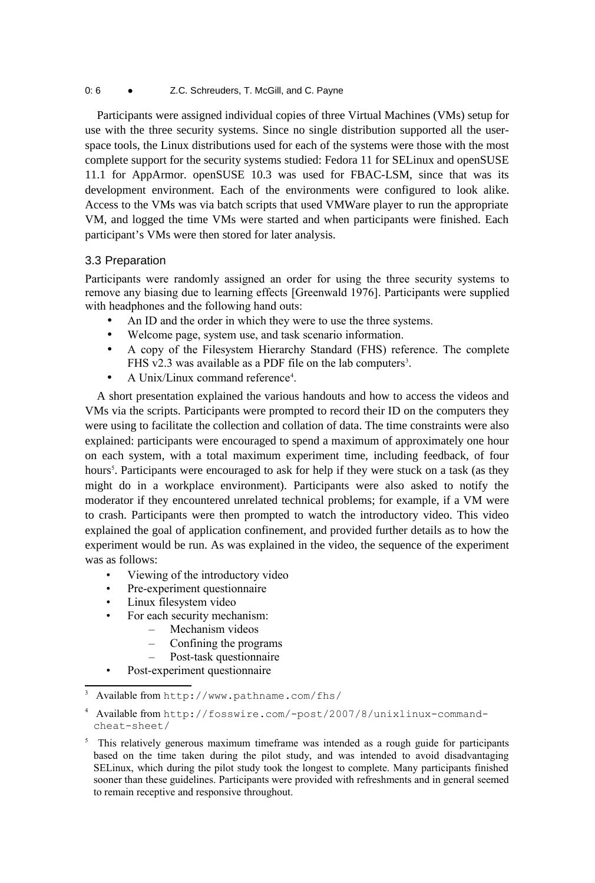#### 0: 6 **•** Z.C. Schreuders, T. McGill, and C. Payne

Participants were assigned individual copies of three Virtual Machines (VMs) setup for use with the three security systems. Since no single distribution supported all the userspace tools, the Linux distributions used for each of the systems were those with the most complete support for the security systems studied: Fedora 11 for SELinux and openSUSE 11.1 for AppArmor. openSUSE 10.3 was used for FBAC-LSM, since that was its development environment. Each of the environments were configured to look alike. Access to the VMs was via batch scripts that used VMWare player to run the appropriate VM, and logged the time VMs were started and when participants were finished. Each participant's VMs were then stored for later analysis.

# 3.3 Preparation

Participants were randomly assigned an order for using the three security systems to remove any biasing due to learning effects [Greenwald 1976]. Participants were supplied with headphones and the following hand outs:

- An ID and the order in which they were to use the three systems.
- Welcome page, system use, and task scenario information.
- A copy of the Filesystem Hierarchy Standard (FHS) reference. The complete FHS  $v2.3$  $v2.3$  was available as a PDF file on the lab computers<sup>3</sup>.
- A Unix/Linux command reference<sup>[4](#page-7-1)</sup>.

A short presentation explained the various handouts and how to access the videos and VMs via the scripts. Participants were prompted to record their ID on the computers they were using to facilitate the collection and collation of data. The time constraints were also explained: participants were encouraged to spend a maximum of approximately one hour on each system, with a total maximum experiment time, including feedback, of four hours<sup>[5](#page-7-2)</sup>. Participants were encouraged to ask for help if they were stuck on a task (as they might do in a workplace environment). Participants were also asked to notify the moderator if they encountered unrelated technical problems; for example, if a VM were to crash. Participants were then prompted to watch the introductory video. This video explained the goal of application confinement, and provided further details as to how the experiment would be run. As was explained in the video, the sequence of the experiment was as follows:

- Viewing of the introductory video
- Pre-experiment questionnaire
- Linux filesystem video
- For each security mechanism:
	- Mechanism videos
	- Confining the programs
	- Post-task questionnaire
- Post-experiment questionnaire

<span id="page-7-0"></span><sup>3</sup> Available from http://www.pathname.com/fhs/

<span id="page-7-1"></span><sup>4</sup> Available from http://fosswire.com/-post/2007/8/unixlinux-commandcheat-sheet/

<span id="page-7-2"></span><sup>5</sup> This relatively generous maximum timeframe was intended as a rough guide for participants based on the time taken during the pilot study, and was intended to avoid disadvantaging SELinux, which during the pilot study took the longest to complete. Many participants finished sooner than these guidelines. Participants were provided with refreshments and in general seemed to remain receptive and responsive throughout.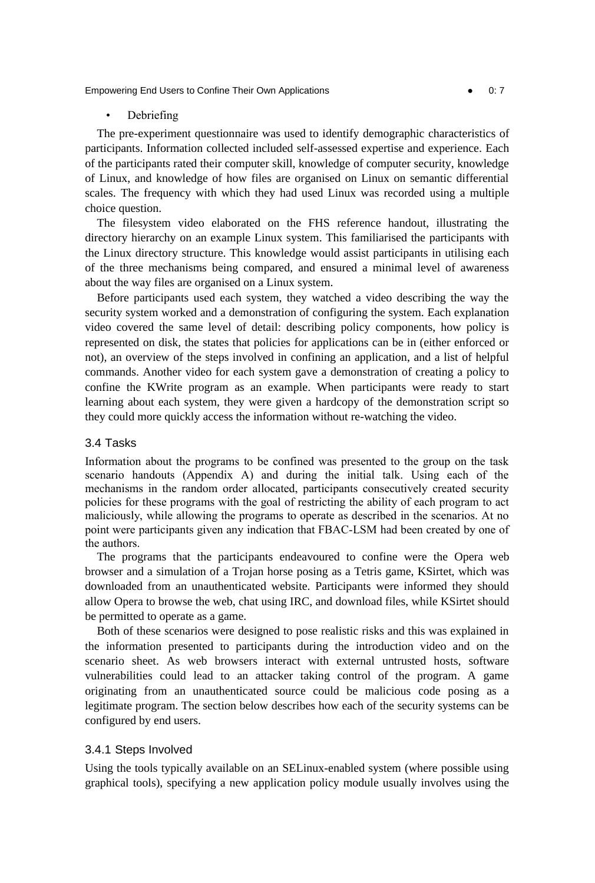• Debriefing

The pre-experiment questionnaire was used to identify demographic characteristics of participants. Information collected included self-assessed expertise and experience. Each of the participants rated their computer skill, knowledge of computer security, knowledge of Linux, and knowledge of how files are organised on Linux on semantic differential scales. The frequency with which they had used Linux was recorded using a multiple choice question.

The filesystem video elaborated on the FHS reference handout, illustrating the directory hierarchy on an example Linux system. This familiarised the participants with the Linux directory structure. This knowledge would assist participants in utilising each of the three mechanisms being compared, and ensured a minimal level of awareness about the way files are organised on a Linux system.

Before participants used each system, they watched a video describing the way the security system worked and a demonstration of configuring the system. Each explanation video covered the same level of detail: describing policy components, how policy is represented on disk, the states that policies for applications can be in (either enforced or not), an overview of the steps involved in confining an application, and a list of helpful commands. Another video for each system gave a demonstration of creating a policy to confine the KWrite program as an example. When participants were ready to start learning about each system, they were given a hardcopy of the demonstration script so they could more quickly access the information without re-watching the video.

#### 3.4 Tasks

Information about the programs to be confined was presented to the group on the task scenario handouts (Appendix A) and during the initial talk. Using each of the mechanisms in the random order allocated, participants consecutively created security policies for these programs with the goal of restricting the ability of each program to act maliciously, while allowing the programs to operate as described in the scenarios. At no point were participants given any indication that FBAC-LSM had been created by one of the authors.

The programs that the participants endeavoured to confine were the Opera web browser and a simulation of a Trojan horse posing as a Tetris game, KSirtet, which was downloaded from an unauthenticated website. Participants were informed they should allow Opera to browse the web, chat using IRC, and download files, while KSirtet should be permitted to operate as a game.

Both of these scenarios were designed to pose realistic risks and this was explained in the information presented to participants during the introduction video and on the scenario sheet. As web browsers interact with external untrusted hosts, software vulnerabilities could lead to an attacker taking control of the program. A game originating from an unauthenticated source could be malicious code posing as a legitimate program. The section below describes how each of the security systems can be configured by end users.

#### 3.4.1 Steps Involved

Using the tools typically available on an SELinux-enabled system (where possible using graphical tools), specifying a new application policy module usually involves using the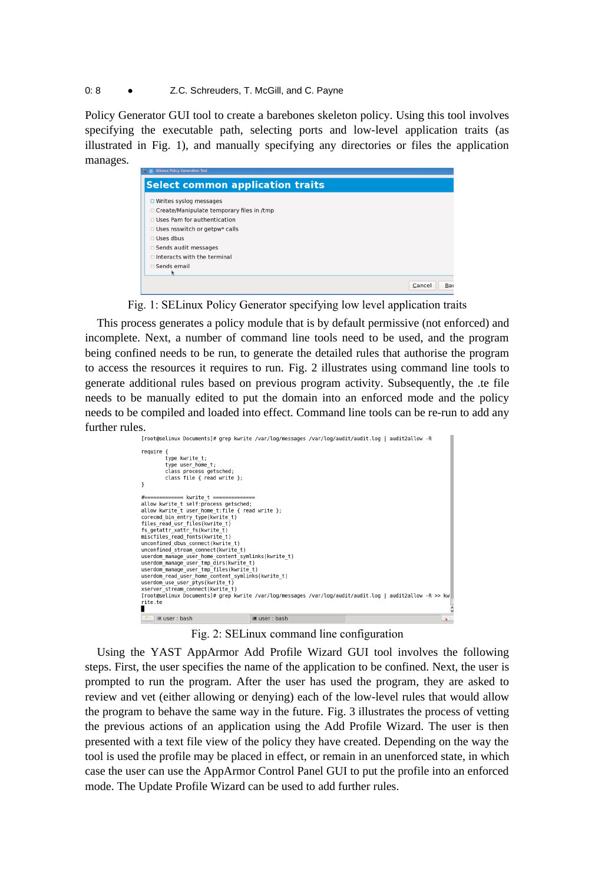#### 0: 8 **•** Z.C. Schreuders, T. McGill, and C. Payne

Policy Generator GUI tool to create a barebones skeleton policy. Using this tool involves specifying the executable path, selecting ports and low-level application traits (as illustrated in [Fig. 1\)](#page-9-0), and manually specifying any directories or files the application manages.



<span id="page-9-0"></span>Fig. 1: SELinux Policy Generator specifying low level application traits

This process generates a policy module that is by default permissive (not enforced) and incomplete. Next, a number of command line tools need to be used, and the program being confined needs to be run, to generate the detailed rules that authorise the program to access the resources it requires to run. [Fig. 2](#page-9-1) illustrates using command line tools to generate additional rules based on previous program activity. Subsequently, the .te file needs to be manually edited to put the domain into an enforced mode and the policy needs to be compiled and loaded into effect. Command line tools can be re-run to add any further rules.<br>[root@selinux Documents]# grep kwrite /var/log/messages /var/log/audit/audit.log | audit2allow -R



<span id="page-9-1"></span>Fig. 2: SELinux command line configuration

Using the YAST AppArmor Add Profile Wizard GUI tool involves the following steps. First, the user specifies the name of the application to be confined. Next, the user is prompted to run the program. After the user has used the program, they are asked to review and vet (either allowing or denying) each of the low-level rules that would allow the program to behave the same way in the future. [Fig. 3](#page-10-0) illustrates the process of vetting the previous actions of an application using the Add Profile Wizard. The user is then presented with a text file view of the policy they have created. Depending on the way the tool is used the profile may be placed in effect, or remain in an unenforced state, in which case the user can use the AppArmor Control Panel GUI to put the profile into an enforced mode. The Update Profile Wizard can be used to add further rules.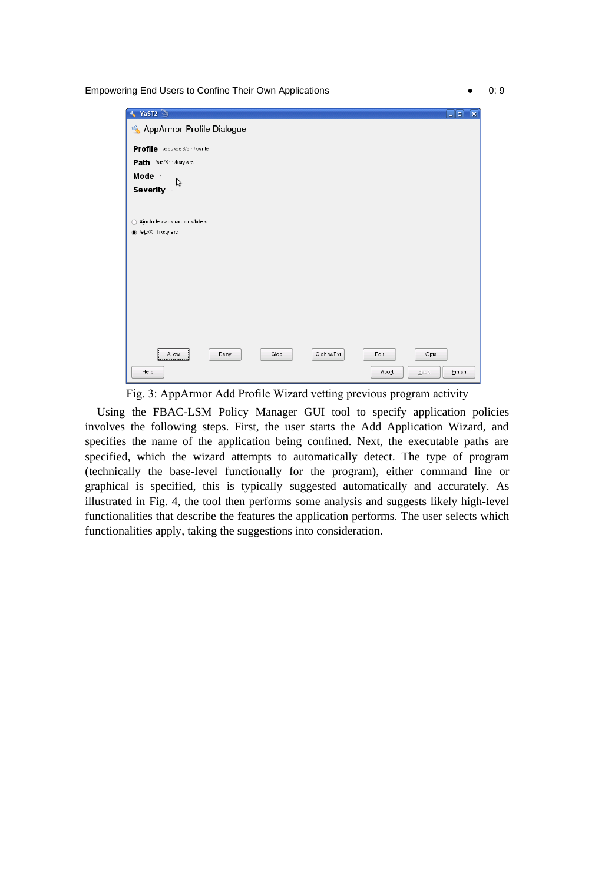Empowering End Users to Confine Their Own Applications **Access 1999 For Applications •** 0: 9

| YaST2 9                                                  | aa     | $\mathbf{x}$ |
|----------------------------------------------------------|--------|--------------|
| AppArmor Profile Dialogue                                |        |              |
| Profile /opt/kde3/bin/kwrite                             |        |              |
| Path /etc/X11/kstylerc                                   |        |              |
| <b>Mode</b><br>ら                                         |        |              |
| Severity 2                                               |        |              |
|                                                          |        |              |
| $\bigcirc$ #include <abstractions kde=""></abstractions> |        |              |
| etc/X11/kstylerc                                         |        |              |
|                                                          |        |              |
|                                                          |        |              |
|                                                          |        |              |
|                                                          |        |              |
|                                                          |        |              |
|                                                          |        |              |
|                                                          |        |              |
| Glob w/Ext<br>Allow<br>Glob<br>Edit<br>Qpts<br>Deny      |        |              |
| Abort<br>Help<br><b>Back</b>                             | Einish |              |

<span id="page-10-0"></span>Fig. 3: AppArmor Add Profile Wizard vetting previous program activity

Using the FBAC-LSM Policy Manager GUI tool to specify application policies involves the following steps. First, the user starts the Add Application Wizard, and specifies the name of the application being confined. Next, the executable paths are specified, which the wizard attempts to automatically detect. The type of program (technically the base-level functionally for the program), either command line or graphical is specified, this is typically suggested automatically and accurately. As illustrated in [Fig. 4,](#page-11-0) the tool then performs some analysis and suggests likely high-level functionalities that describe the features the application performs. The user selects which functionalities apply, taking the suggestions into consideration.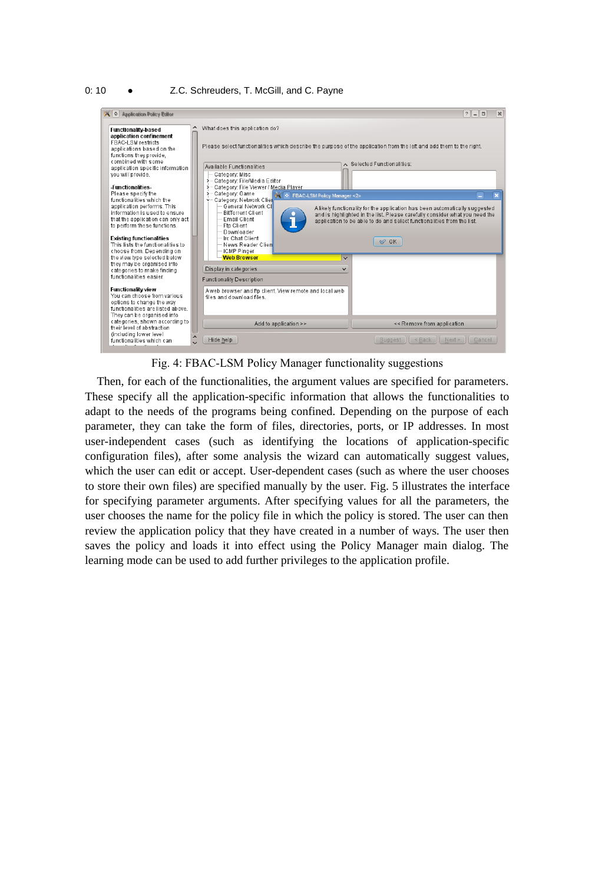#### 0: 10 • Z.C. Schreuders, T. McGill, and C. Payne



Fig. 4: FBAC-LSM Policy Manager functionality suggestions

<span id="page-11-0"></span>Then, for each of the functionalities, the argument values are specified for parameters. These specify all the application-specific information that allows the functionalities to adapt to the needs of the programs being confined. Depending on the purpose of each parameter, they can take the form of files, directories, ports, or IP addresses. In most user-independent cases (such as identifying the locations of application-specific configuration files), after some analysis the wizard can automatically suggest values, which the user can edit or accept. User-dependent cases (such as where the user chooses to store their own files) are specified manually by the user. [Fig. 5](#page-12-0) illustrates the interface for specifying parameter arguments. After specifying values for all the parameters, the user chooses the name for the policy file in which the policy is stored. The user can then review the application policy that they have created in a number of ways. The user then saves the policy and loads it into effect using the Policy Manager main dialog. The learning mode can be used to add further privileges to the application profile.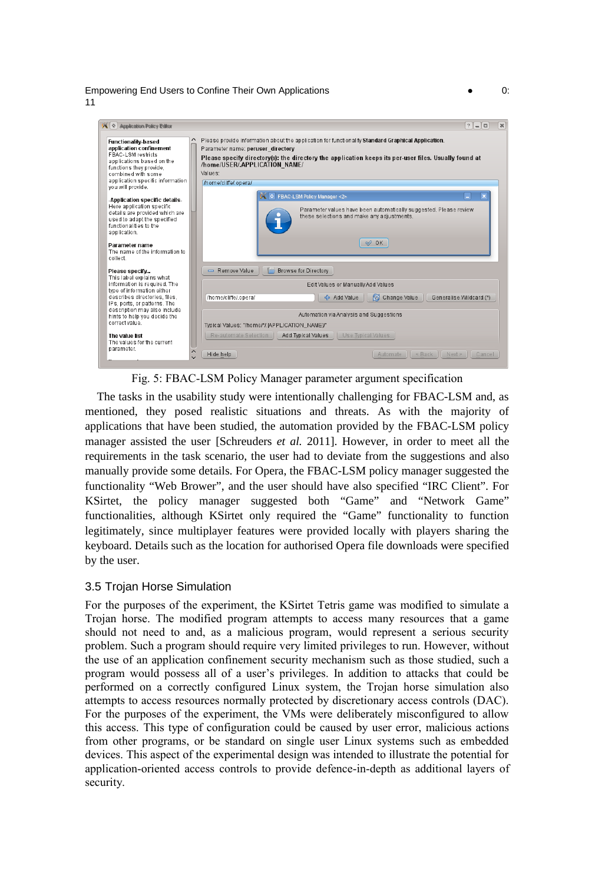

Fig. 5: FBAC-LSM Policy Manager parameter argument specification

<span id="page-12-0"></span>The tasks in the usability study were intentionally challenging for FBAC-LSM and, as mentioned, they posed realistic situations and threats. As with the majority of applications that have been studied, the automation provided by the FBAC-LSM policy manager assisted the user [Schreuders *et al.* 2011]. However, in order to meet all the requirements in the task scenario, the user had to deviate from the suggestions and also manually provide some details. For Opera, the FBAC-LSM policy manager suggested the functionality "Web Brower", and the user should have also specified "IRC Client". For KSirtet, the policy manager suggested both "Game" and "Network Game" functionalities, although KSirtet only required the "Game" functionality to function legitimately, since multiplayer features were provided locally with players sharing the keyboard. Details such as the location for authorised Opera file downloads were specified by the user.

# 3.5 Trojan Horse Simulation

For the purposes of the experiment, the KSirtet Tetris game was modified to simulate a Trojan horse. The modified program attempts to access many resources that a game should not need to and, as a malicious program, would represent a serious security problem. Such a program should require very limited privileges to run. However, without the use of an application confinement security mechanism such as those studied, such a program would possess all of a user's privileges. In addition to attacks that could be performed on a correctly configured Linux system, the Trojan horse simulation also attempts to access resources normally protected by discretionary access controls (DAC). For the purposes of the experiment, the VMs were deliberately misconfigured to allow this access. This type of configuration could be caused by user error, malicious actions from other programs, or be standard on single user Linux systems such as embedded devices. This aspect of the experimental design was intended to illustrate the potential for application-oriented access controls to provide defence-in-depth as additional layers of security.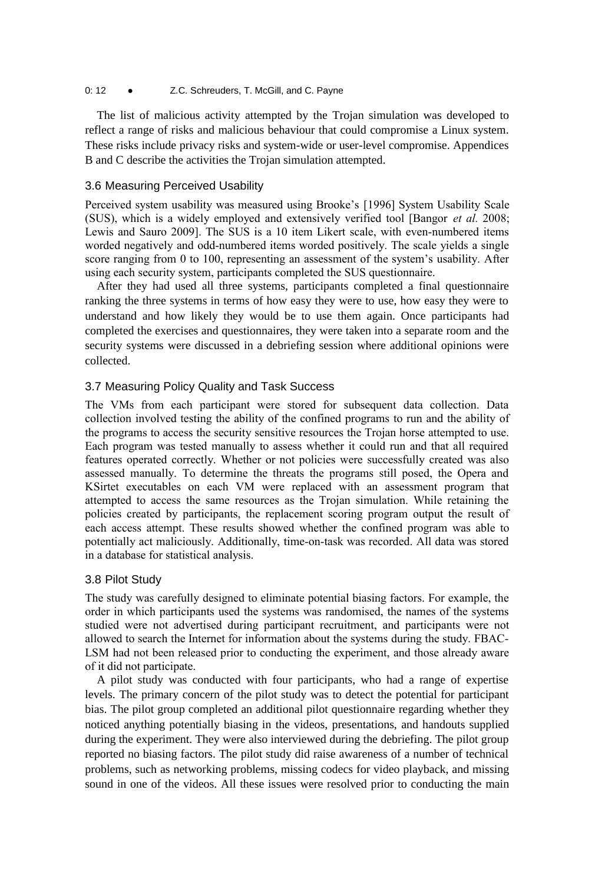#### 0: 12 • Z.C. Schreuders, T. McGill, and C. Payne

The list of malicious activity attempted by the Trojan simulation was developed to reflect a range of risks and malicious behaviour that could compromise a Linux system. These risks include privacy risks and system-wide or user-level compromise. Appendices B and C describe the activities the Trojan simulation attempted.

# 3.6 Measuring Perceived Usability

Perceived system usability was measured using Brooke's [1996] System Usability Scale (SUS), which is a widely employed and extensively verified tool [Bangor *et al.* 2008; Lewis and Sauro 2009]. The SUS is a 10 item Likert scale, with even-numbered items worded negatively and odd-numbered items worded positively. The scale yields a single score ranging from 0 to 100, representing an assessment of the system's usability. After using each security system, participants completed the SUS questionnaire.

After they had used all three systems, participants completed a final questionnaire ranking the three systems in terms of how easy they were to use, how easy they were to understand and how likely they would be to use them again. Once participants had completed the exercises and questionnaires, they were taken into a separate room and the security systems were discussed in a debriefing session where additional opinions were collected.

## 3.7 Measuring Policy Quality and Task Success

The VMs from each participant were stored for subsequent data collection. Data collection involved testing the ability of the confined programs to run and the ability of the programs to access the security sensitive resources the Trojan horse attempted to use. Each program was tested manually to assess whether it could run and that all required features operated correctly. Whether or not policies were successfully created was also assessed manually. To determine the threats the programs still posed, the Opera and KSirtet executables on each VM were replaced with an assessment program that attempted to access the same resources as the Trojan simulation. While retaining the policies created by participants, the replacement scoring program output the result of each access attempt. These results showed whether the confined program was able to potentially act maliciously. Additionally, time-on-task was recorded. All data was stored in a database for statistical analysis.

# 3.8 Pilot Study

The study was carefully designed to eliminate potential biasing factors. For example, the order in which participants used the systems was randomised, the names of the systems studied were not advertised during participant recruitment, and participants were not allowed to search the Internet for information about the systems during the study. FBAC-LSM had not been released prior to conducting the experiment, and those already aware of it did not participate.

A pilot study was conducted with four participants, who had a range of expertise levels. The primary concern of the pilot study was to detect the potential for participant bias. The pilot group completed an additional pilot questionnaire regarding whether they noticed anything potentially biasing in the videos, presentations, and handouts supplied during the experiment. They were also interviewed during the debriefing. The pilot group reported no biasing factors. The pilot study did raise awareness of a number of technical problems, such as networking problems, missing codecs for video playback, and missing sound in one of the videos. All these issues were resolved prior to conducting the main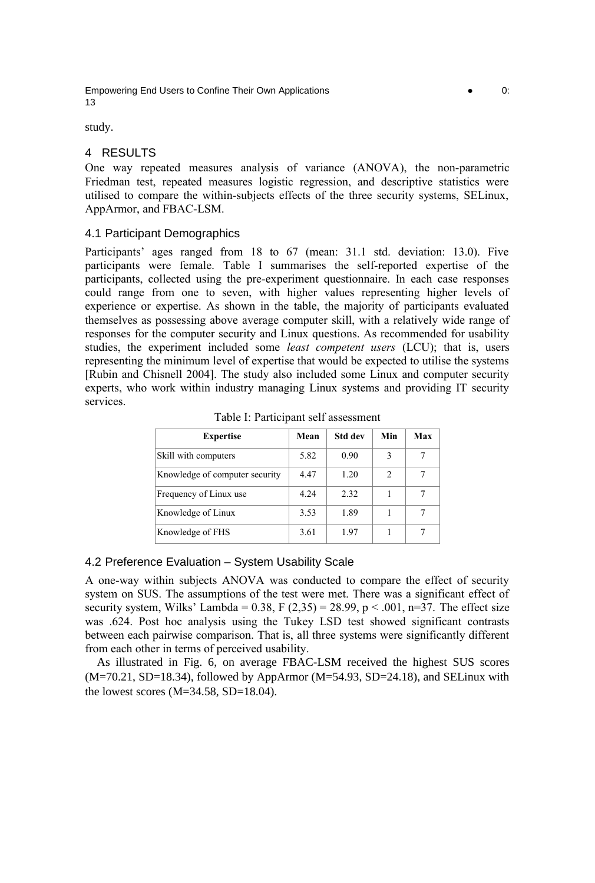study.

#### 4 RESULTS

One way repeated measures analysis of variance (ANOVA), the non-parametric Friedman test, repeated measures logistic regression, and descriptive statistics were utilised to compare the within-subjects effects of the three security systems, SELinux, AppArmor, and FBAC-LSM.

## 4.1 Participant Demographics

Participants' ages ranged from 18 to 67 (mean: 31.1 std. deviation: 13.0). Five participants were female. [Table I](#page-14-0) summarises the self-reported expertise of the participants, collected using the pre-experiment questionnaire. In each case responses could range from one to seven, with higher values representing higher levels of experience or expertise. As shown in the table, the majority of participants evaluated themselves as possessing above average computer skill, with a relatively wide range of responses for the computer security and Linux questions. As recommended for usability studies, the experiment included some *least competent users* (LCU); that is, users representing the minimum level of expertise that would be expected to utilise the systems [Rubin and Chisnell 2004]. The study also included some Linux and computer security experts, who work within industry managing Linux systems and providing IT security services.

| <b>Expertise</b>               | Mean | Std dev | Min           | Max |
|--------------------------------|------|---------|---------------|-----|
| Skill with computers           | 5.82 | 0.90    | 3             |     |
| Knowledge of computer security | 4.47 | 1.20    | $\mathcal{L}$ |     |
| Frequency of Linux use         | 4.24 | 2.32    |               | 7   |
| Knowledge of Linux             | 3.53 | 1.89    |               |     |
| Knowledge of FHS               | 3.61 | 197     |               |     |

<span id="page-14-0"></span>Table I: Participant self assessment

#### 4.2 Preference Evaluation – System Usability Scale

A one-way within subjects ANOVA was conducted to compare the effect of security system on SUS. The assumptions of the test were met. There was a significant effect of security system, Wilks' Lambda =  $0.38$ , F  $(2.35) = 28.99$ , p < .001, n=37. The effect size was .624. Post hoc analysis using the Tukey LSD test showed significant contrasts between each pairwise comparison. That is, all three systems were significantly different from each other in terms of perceived usability.

As illustrated in [Fig. 6,](#page-15-0) on average FBAC-LSM received the highest SUS scores  $(M=70.21, SD=18.34)$ , followed by AppArmor  $(M=54.93, SD=24.18)$ , and SELinux with the lowest scores  $(M=34.58, SD=18.04)$ .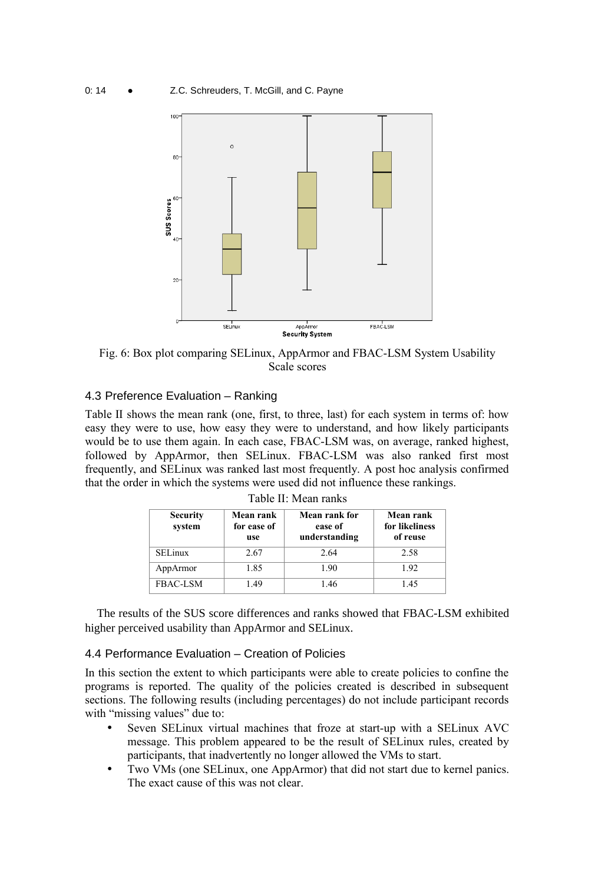

<span id="page-15-0"></span>Fig. 6: Box plot comparing SELinux, AppArmor and FBAC-LSM System Usability Scale scores

# 4.3 Preference Evaluation – Ranking

[Table II](#page-15-1) shows the mean rank (one, first, to three, last) for each system in terms of: how easy they were to use, how easy they were to understand, and how likely participants would be to use them again. In each case, FBAC-LSM was, on average, ranked highest, followed by AppArmor, then SELinux. FBAC-LSM was also ranked first most frequently, and SELinux was ranked last most frequently. A post hoc analysis confirmed that the order in which the systems were used did not influence these rankings.

| <b>Security</b><br>system | Mean rank<br>for ease of<br>use | Mean rank for<br>ease of<br>understanding | Mean rank<br>for likeliness<br>of reuse |
|---------------------------|---------------------------------|-------------------------------------------|-----------------------------------------|
| <b>SELinux</b>            | 2.67                            | 2.64                                      | 2.58                                    |
| AppArmor                  | 1.85                            | 1.90                                      | 1.92                                    |
| <b>FBAC-LSM</b>           | 1.49                            | 1.46                                      | 1.45                                    |

<span id="page-15-1"></span>Table II: Mean ranks

The results of the SUS score differences and ranks showed that FBAC-LSM exhibited higher perceived usability than AppArmor and SELinux.

# 4.4 Performance Evaluation – Creation of Policies

In this section the extent to which participants were able to create policies to confine the programs is reported. The quality of the policies created is described in subsequent sections. The following results (including percentages) do not include participant records with "missing values" due to:

- Seven SELinux virtual machines that froze at start-up with a SELinux AVC message. This problem appeared to be the result of SELinux rules, created by participants, that inadvertently no longer allowed the VMs to start.
- Two VMs (one SELinux, one AppArmor) that did not start due to kernel panics. The exact cause of this was not clear.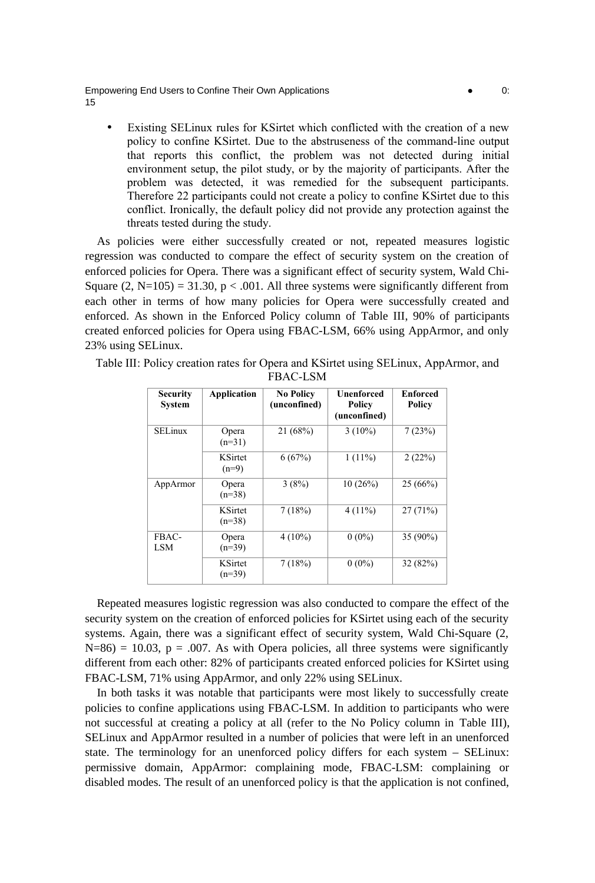Existing SELinux rules for KSirtet which conflicted with the creation of a new policy to confine KSirtet. Due to the abstruseness of the command-line output that reports this conflict, the problem was not detected during initial environment setup, the pilot study, or by the majority of participants. After the problem was detected, it was remedied for the subsequent participants. Therefore 22 participants could not create a policy to confine KSirtet due to this conflict. Ironically, the default policy did not provide any protection against the threats tested during the study.

As policies were either successfully created or not, repeated measures logistic regression was conducted to compare the effect of security system on the creation of enforced policies for Opera. There was a significant effect of security system, Wald Chi-Square (2, N=105) = 31.30,  $p < .001$ . All three systems were significantly different from each other in terms of how many policies for Opera were successfully created and enforced. As shown in the Enforced Policy column of [Table III,](#page-16-0) 90% of participants created enforced policies for Opera using FBAC-LSM, 66% using AppArmor, and only 23% using SELinux.

| <b>Security</b><br><b>System</b> | <b>Application</b>  | <b>No Policy</b><br>(unconfined) | <b>Unenforced</b><br>Policy<br>(unconfined) | <b>Enforced</b><br>Policy |
|----------------------------------|---------------------|----------------------------------|---------------------------------------------|---------------------------|
| <b>SELinux</b>                   | Opera<br>$(n=31)$   | 21(68%)                          | $3(10\%)$                                   | 7(23%)                    |
|                                  | KSirtet<br>$(n=9)$  | 6(67%)                           | $1(11\%)$                                   | 2(22%)                    |
| AppArmor                         | Opera<br>$(n=38)$   | 3(8%)                            | 10(26%)                                     | 25(66%)                   |
|                                  | KSirtet<br>$(n=38)$ | 7(18%)                           | $4(11\%)$                                   | 27(71%)                   |
| FBAC-<br><b>LSM</b>              | Opera<br>$(n=39)$   | $4(10\%)$                        | $0(0\%)$                                    | 35 (90%)                  |
|                                  | KSirtet<br>$(n=39)$ | 7(18%)                           | $0(0\%)$                                    | 32(82%)                   |

<span id="page-16-0"></span>Table III: Policy creation rates for Opera and KSirtet using SELinux, AppArmor, and FBAC-LSM

Repeated measures logistic regression was also conducted to compare the effect of the security system on the creation of enforced policies for KSirtet using each of the security systems. Again, there was a significant effect of security system, Wald Chi-Square (2,  $N=86$ ) = 10.03, p = .007. As with Opera policies, all three systems were significantly different from each other: 82% of participants created enforced policies for KSirtet using FBAC-LSM, 71% using AppArmor, and only 22% using SELinux.

In both tasks it was notable that participants were most likely to successfully create policies to confine applications using FBAC-LSM. In addition to participants who were not successful at creating a policy at all (refer to the No Policy column in [Table III\)](#page-16-0), SELinux and AppArmor resulted in a number of policies that were left in an unenforced state. The terminology for an unenforced policy differs for each system – SELinux: permissive domain, AppArmor: complaining mode, FBAC-LSM: complaining or disabled modes. The result of an unenforced policy is that the application is not confined,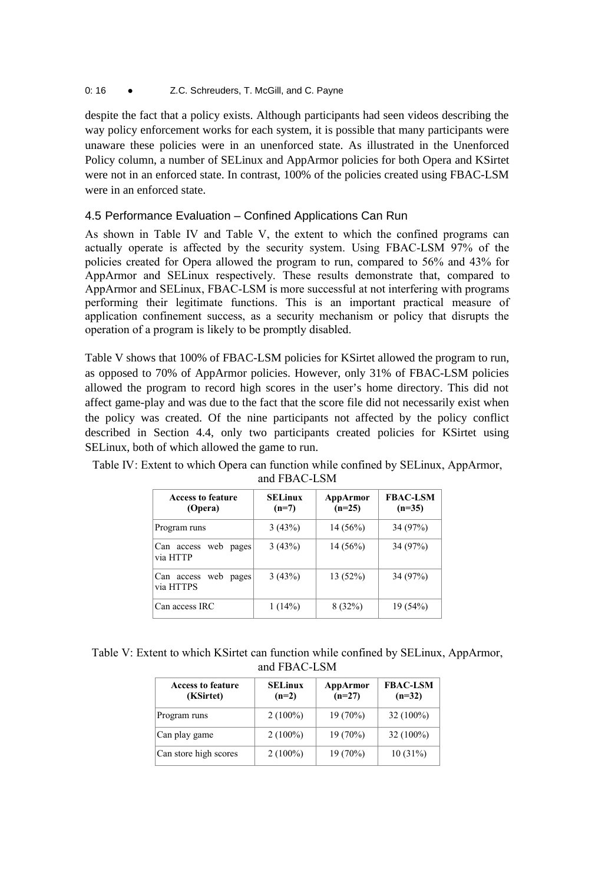#### 0: 16 • Z.C. Schreuders, T. McGill, and C. Payne

despite the fact that a policy exists. Although participants had seen videos describing the way policy enforcement works for each system, it is possible that many participants were unaware these policies were in an unenforced state. As illustrated in the Unenforced Policy column, a number of SELinux and AppArmor policies for both Opera and KSirtet were not in an enforced state. In contrast, 100% of the policies created using FBAC-LSM were in an enforced state.

# 4.5 Performance Evaluation – Confined Applications Can Run

As shown in [Table IV](#page-17-1) and [Table V,](#page-17-0) the extent to which the confined programs can actually operate is affected by the security system. Using FBAC-LSM 97% of the policies created for Opera allowed the program to run, compared to 56% and 43% for AppArmor and SELinux respectively. These results demonstrate that, compared to AppArmor and SELinux, FBAC-LSM is more successful at not interfering with programs performing their legitimate functions. This is an important practical measure of application confinement success, as a security mechanism or policy that disrupts the operation of a program is likely to be promptly disabled.

[Table V](#page-17-0) shows that 100% of FBAC-LSM policies for KSirtet allowed the program to run, as opposed to 70% of AppArmor policies. However, only 31% of FBAC-LSM policies allowed the program to record high scores in the user's home directory. This did not affect game-play and was due to the fact that the score file did not necessarily exist when the policy was created. Of the nine participants not affected by the policy conflict described in Section 4.4, only two participants created policies for KSirtet using SELinux, both of which allowed the game to run.

| <b>Access to feature</b><br>(Opera)     | <b>SELinux</b><br>$(n=7)$ | AppArmor<br>$(n=25)$ | <b>FBAC-LSM</b><br>$(n=35)$ |
|-----------------------------------------|---------------------------|----------------------|-----------------------------|
| Program runs                            | 3(43%)                    | $14(56\%)$           | 34 (97%)                    |
| Can access<br>web<br>pages<br>via HTTP  | 3(43%)                    | $14(56\%)$           | 34 (97%)                    |
| Can access<br>web<br>pages<br>via HTTPS | 3(43%)                    | 13(52%)              | 34 (97%)                    |
| Can access IRC                          | 1(14%)                    | 8(32%)               | 19 (54%)                    |

<span id="page-17-1"></span>Table IV: Extent to which Opera can function while confined by SELinux, AppArmor, and FBAC-LSM

<span id="page-17-0"></span>

| Table V: Extent to which KSirtet can function while confined by SELinux, AppArmor, |              |  |
|------------------------------------------------------------------------------------|--------------|--|
|                                                                                    | and FBAC-LSM |  |

| <b>Access to feature</b><br>(KSirtet) | <b>SELinux</b><br>$(n=2)$ | AppArmor<br>$(n=27)$ | <b>FBAC-LSM</b><br>$(n=32)$ |
|---------------------------------------|---------------------------|----------------------|-----------------------------|
| Program runs                          | $2(100\%)$                | $19(70\%)$           | $32(100\%)$                 |
| Can play game                         | $2(100\%)$                | $19(70\%)$           | $32(100\%)$                 |
| Can store high scores                 | $2(100\%)$                | $19(70\%)$           | 10(31%)                     |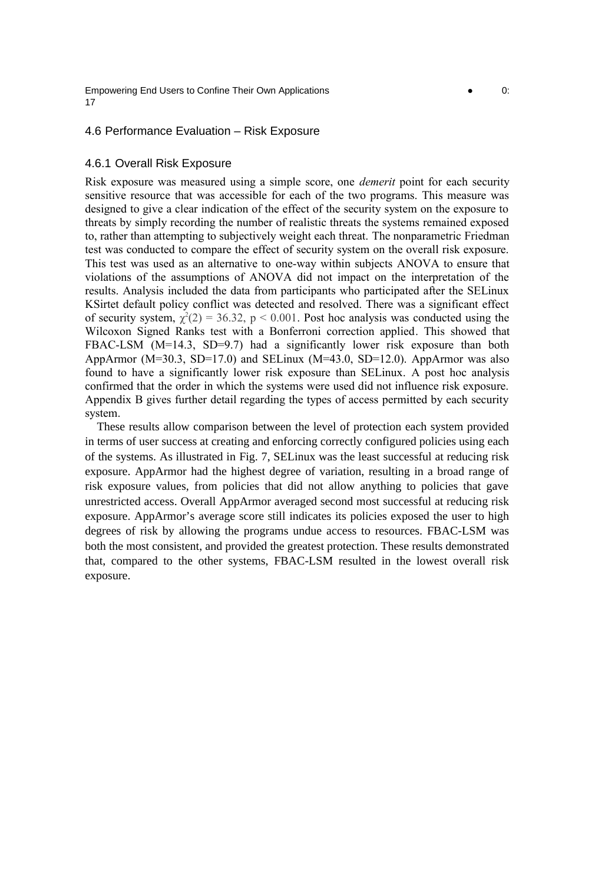# 4.6 Performance Evaluation – Risk Exposure

#### 4.6.1 Overall Risk Exposure

Risk exposure was measured using a simple score, one *demerit* point for each security sensitive resource that was accessible for each of the two programs. This measure was designed to give a clear indication of the effect of the security system on the exposure to threats by simply recording the number of realistic threats the systems remained exposed to, rather than attempting to subjectively weight each threat. The nonparametric Friedman test was conducted to compare the effect of security system on the overall risk exposure. This test was used as an alternative to one-way within subjects ANOVA to ensure that violations of the assumptions of ANOVA did not impact on the interpretation of the results. Analysis included the data from participants who participated after the SELinux KSirtet default policy conflict was detected and resolved. There was a significant effect of security system,  $\chi^2(2) = 36.32$ ,  $p < 0.001$ . Post hoc analysis was conducted using the Wilcoxon Signed Ranks test with a Bonferroni correction applied. This showed that FBAC-LSM (M=14.3, SD=9.7) had a significantly lower risk exposure than both AppArmor  $(M=30.3, SD=17.0)$  and SELinux  $(M=43.0, SD=12.0)$ . AppArmor was also found to have a significantly lower risk exposure than SELinux. A post hoc analysis confirmed that the order in which the systems were used did not influence risk exposure. Appendix B gives further detail regarding the types of access permitted by each security system.

These results allow comparison between the level of protection each system provided in terms of user success at creating and enforcing correctly configured policies using each of the systems. As illustrated in [Fig. 7,](#page-19-0) SELinux was the least successful at reducing risk exposure. AppArmor had the highest degree of variation, resulting in a broad range of risk exposure values, from policies that did not allow anything to policies that gave unrestricted access. Overall AppArmor averaged second most successful at reducing risk exposure. AppArmor's average score still indicates its policies exposed the user to high degrees of risk by allowing the programs undue access to resources. FBAC-LSM was both the most consistent, and provided the greatest protection. These results demonstrated that, compared to the other systems, FBAC-LSM resulted in the lowest overall risk exposure.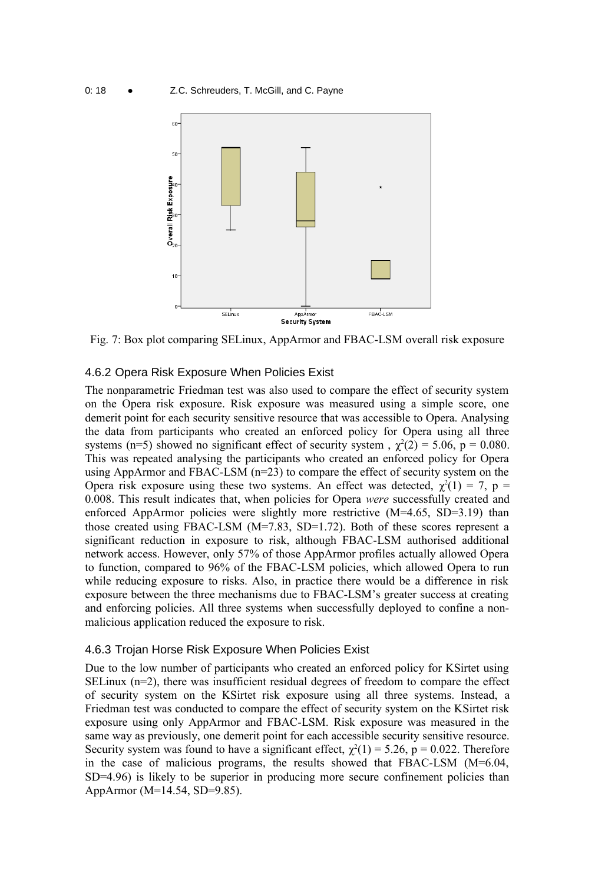

<span id="page-19-0"></span>Fig. 7: Box plot comparing SELinux, AppArmor and FBAC-LSM overall risk exposure

# 4.6.2 Opera Risk Exposure When Policies Exist

The nonparametric Friedman test was also used to compare the effect of security system on the Opera risk exposure. Risk exposure was measured using a simple score, one demerit point for each security sensitive resource that was accessible to Opera. Analysing the data from participants who created an enforced policy for Opera using all three systems (n=5) showed no significant effect of security system,  $\chi^2(2) = 5.06$ , p = 0.080. This was repeated analysing the participants who created an enforced policy for Opera using AppArmor and FBAC-LSM (n=23) to compare the effect of security system on the Opera risk exposure using these two systems. An effect was detected,  $\chi^2(1) = 7$ , p = 0.008. This result indicates that, when policies for Opera *were* successfully created and enforced AppArmor policies were slightly more restrictive  $(M=4.65, SD=3.19)$  than those created using FBAC-LSM  $(M=7.83, SD=1.72)$ . Both of these scores represent a significant reduction in exposure to risk, although FBAC-LSM authorised additional network access. However, only 57% of those AppArmor profiles actually allowed Opera to function, compared to 96% of the FBAC-LSM policies, which allowed Opera to run while reducing exposure to risks. Also, in practice there would be a difference in risk exposure between the three mechanisms due to FBAC-LSM's greater success at creating and enforcing policies. All three systems when successfully deployed to confine a nonmalicious application reduced the exposure to risk.

#### 4.6.3 Trojan Horse Risk Exposure When Policies Exist

Due to the low number of participants who created an enforced policy for KSirtet using SELinux (n=2), there was insufficient residual degrees of freedom to compare the effect of security system on the KSirtet risk exposure using all three systems. Instead, a Friedman test was conducted to compare the effect of security system on the KSirtet risk exposure using only AppArmor and FBAC-LSM. Risk exposure was measured in the same way as previously, one demerit point for each accessible security sensitive resource. Security system was found to have a significant effect,  $\chi^2(1) = 5.26$ , p = 0.022. Therefore in the case of malicious programs, the results showed that FBAC-LSM (M=6.04, SD=4.96) is likely to be superior in producing more secure confinement policies than AppArmor (M=14.54, SD=9.85).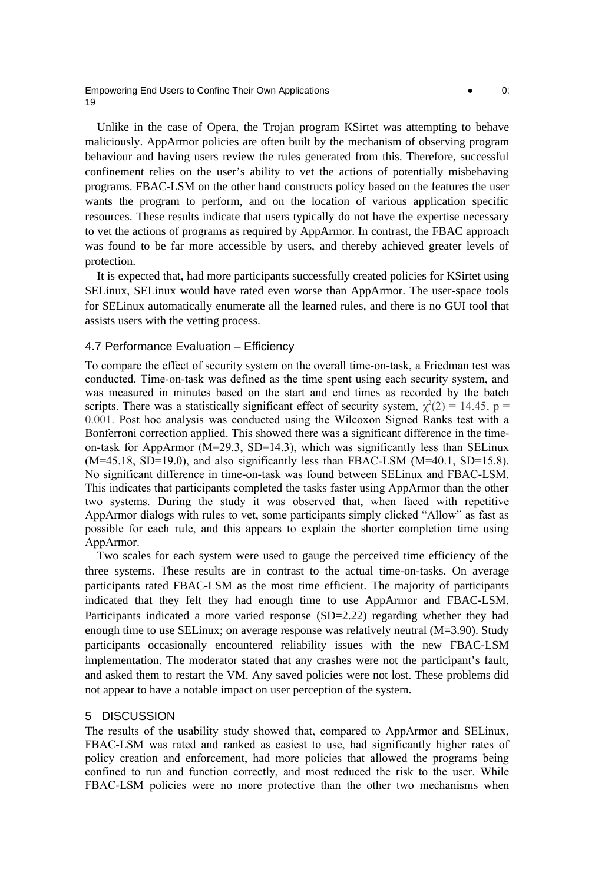Unlike in the case of Opera, the Trojan program KSirtet was attempting to behave maliciously. AppArmor policies are often built by the mechanism of observing program behaviour and having users review the rules generated from this. Therefore, successful confinement relies on the user's ability to vet the actions of potentially misbehaving programs. FBAC-LSM on the other hand constructs policy based on the features the user wants the program to perform, and on the location of various application specific resources. These results indicate that users typically do not have the expertise necessary to vet the actions of programs as required by AppArmor. In contrast, the FBAC approach was found to be far more accessible by users, and thereby achieved greater levels of protection.

It is expected that, had more participants successfully created policies for KSirtet using SELinux, SELinux would have rated even worse than AppArmor. The user-space tools for SELinux automatically enumerate all the learned rules, and there is no GUI tool that assists users with the vetting process.

#### 4.7 Performance Evaluation – Efficiency

To compare the effect of security system on the overall time-on-task, a Friedman test was conducted. Time-on-task was defined as the time spent using each security system, and was measured in minutes based on the start and end times as recorded by the batch scripts. There was a statistically significant effect of security system,  $\chi^2(2) = 14.45$ , p = 0.001. Post hoc analysis was conducted using the Wilcoxon Signed Ranks test with a Bonferroni correction applied. This showed there was a significant difference in the timeon-task for AppArmor  $(M=29.3, SD=14.3)$ , which was significantly less than SELinux  $(M=45.18, SD=19.0)$ , and also significantly less than FBAC-LSM  $(M=40.1, SD=15.8)$ . No significant difference in time-on-task was found between SELinux and FBAC-LSM. This indicates that participants completed the tasks faster using AppArmor than the other two systems. During the study it was observed that, when faced with repetitive AppArmor dialogs with rules to vet, some participants simply clicked "Allow" as fast as possible for each rule, and this appears to explain the shorter completion time using AppArmor.

Two scales for each system were used to gauge the perceived time efficiency of the three systems. These results are in contrast to the actual time-on-tasks. On average participants rated FBAC-LSM as the most time efficient. The majority of participants indicated that they felt they had enough time to use AppArmor and FBAC-LSM. Participants indicated a more varied response (SD=2.22) regarding whether they had enough time to use SELinux; on average response was relatively neutral (M=3.90). Study participants occasionally encountered reliability issues with the new FBAC-LSM implementation. The moderator stated that any crashes were not the participant's fault, and asked them to restart the VM. Any saved policies were not lost. These problems did not appear to have a notable impact on user perception of the system.

#### 5 DISCUSSION

The results of the usability study showed that, compared to AppArmor and SELinux, FBAC-LSM was rated and ranked as easiest to use, had significantly higher rates of policy creation and enforcement, had more policies that allowed the programs being confined to run and function correctly, and most reduced the risk to the user. While FBAC-LSM policies were no more protective than the other two mechanisms when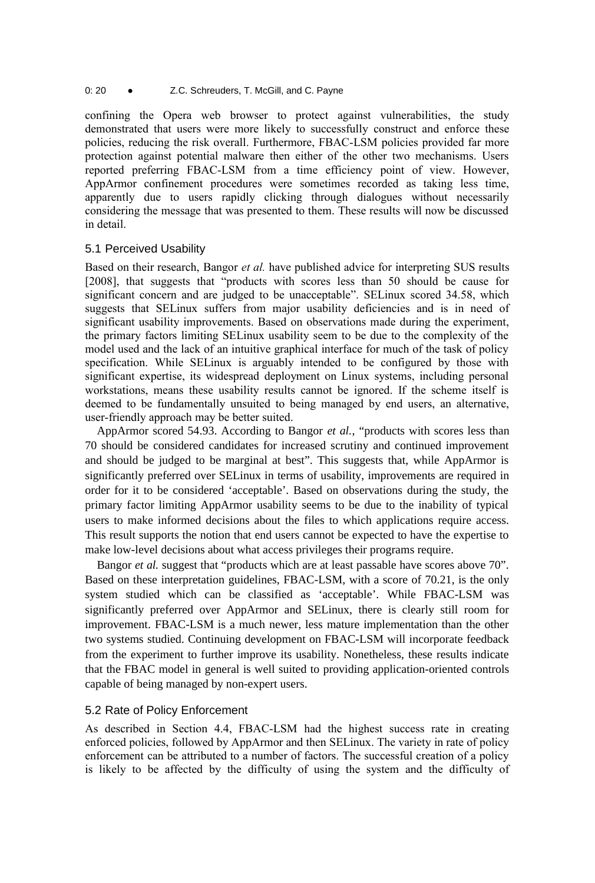0: 20 • Z.C. Schreuders, T. McGill, and C. Payne

confining the Opera web browser to protect against vulnerabilities, the study demonstrated that users were more likely to successfully construct and enforce these policies, reducing the risk overall. Furthermore, FBAC-LSM policies provided far more protection against potential malware then either of the other two mechanisms. Users reported preferring FBAC-LSM from a time efficiency point of view. However, AppArmor confinement procedures were sometimes recorded as taking less time, apparently due to users rapidly clicking through dialogues without necessarily considering the message that was presented to them. These results will now be discussed in detail.

#### 5.1 Perceived Usability

Based on their research, Bangor *et al.* have published advice for interpreting SUS results [2008], that suggests that "products with scores less than 50 should be cause for significant concern and are judged to be unacceptable". SELinux scored 34.58, which suggests that SELinux suffers from major usability deficiencies and is in need of significant usability improvements. Based on observations made during the experiment, the primary factors limiting SELinux usability seem to be due to the complexity of the model used and the lack of an intuitive graphical interface for much of the task of policy specification. While SELinux is arguably intended to be configured by those with significant expertise, its widespread deployment on Linux systems, including personal workstations, means these usability results cannot be ignored. If the scheme itself is deemed to be fundamentally unsuited to being managed by end users, an alternative, user-friendly approach may be better suited.

AppArmor scored 54.93. According to Bangor *et al.*, "products with scores less than 70 should be considered candidates for increased scrutiny and continued improvement and should be judged to be marginal at best". This suggests that, while AppArmor is significantly preferred over SELinux in terms of usability, improvements are required in order for it to be considered 'acceptable'. Based on observations during the study, the primary factor limiting AppArmor usability seems to be due to the inability of typical users to make informed decisions about the files to which applications require access. This result supports the notion that end users cannot be expected to have the expertise to make low-level decisions about what access privileges their programs require.

Bangor *et al.* suggest that "products which are at least passable have scores above 70". Based on these interpretation guidelines, FBAC-LSM, with a score of 70.21, is the only system studied which can be classified as 'acceptable'. While FBAC-LSM was significantly preferred over AppArmor and SELinux, there is clearly still room for improvement. FBAC-LSM is a much newer, less mature implementation than the other two systems studied. Continuing development on FBAC-LSM will incorporate feedback from the experiment to further improve its usability. Nonetheless, these results indicate that the FBAC model in general is well suited to providing application-oriented controls capable of being managed by non-expert users.

### 5.2 Rate of Policy Enforcement

As described in Section 4.4, FBAC-LSM had the highest success rate in creating enforced policies, followed by AppArmor and then SELinux. The variety in rate of policy enforcement can be attributed to a number of factors. The successful creation of a policy is likely to be affected by the difficulty of using the system and the difficulty of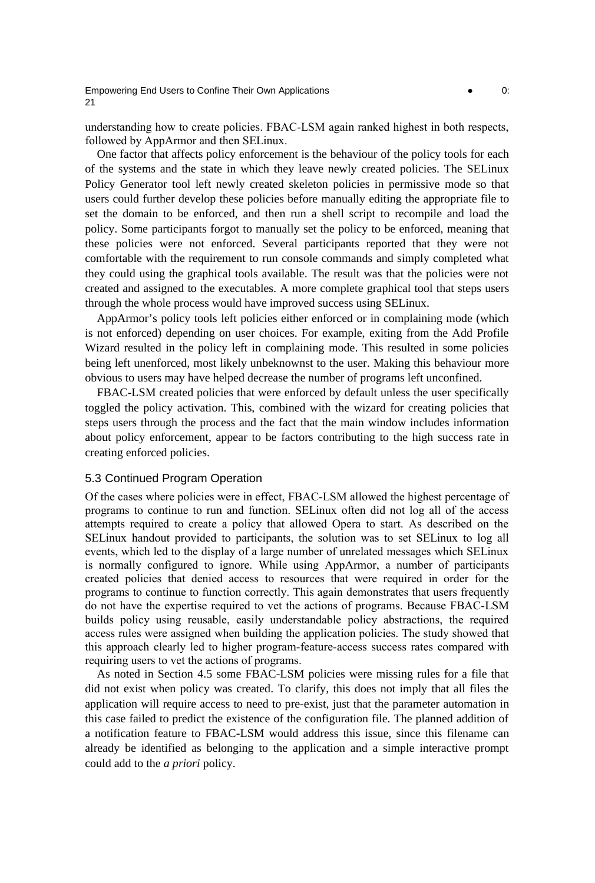understanding how to create policies. FBAC-LSM again ranked highest in both respects, followed by AppArmor and then SELinux.

One factor that affects policy enforcement is the behaviour of the policy tools for each of the systems and the state in which they leave newly created policies. The SELinux Policy Generator tool left newly created skeleton policies in permissive mode so that users could further develop these policies before manually editing the appropriate file to set the domain to be enforced, and then run a shell script to recompile and load the policy. Some participants forgot to manually set the policy to be enforced, meaning that these policies were not enforced. Several participants reported that they were not comfortable with the requirement to run console commands and simply completed what they could using the graphical tools available. The result was that the policies were not created and assigned to the executables. A more complete graphical tool that steps users through the whole process would have improved success using SELinux.

AppArmor's policy tools left policies either enforced or in complaining mode (which is not enforced) depending on user choices. For example, exiting from the Add Profile Wizard resulted in the policy left in complaining mode. This resulted in some policies being left unenforced, most likely unbeknownst to the user. Making this behaviour more obvious to users may have helped decrease the number of programs left unconfined.

FBAC-LSM created policies that were enforced by default unless the user specifically toggled the policy activation. This, combined with the wizard for creating policies that steps users through the process and the fact that the main window includes information about policy enforcement, appear to be factors contributing to the high success rate in creating enforced policies.

#### 5.3 Continued Program Operation

Of the cases where policies were in effect, FBAC-LSM allowed the highest percentage of programs to continue to run and function. SELinux often did not log all of the access attempts required to create a policy that allowed Opera to start. As described on the SELinux handout provided to participants, the solution was to set SELinux to log all events, which led to the display of a large number of unrelated messages which SELinux is normally configured to ignore. While using AppArmor, a number of participants created policies that denied access to resources that were required in order for the programs to continue to function correctly. This again demonstrates that users frequently do not have the expertise required to vet the actions of programs. Because FBAC-LSM builds policy using reusable, easily understandable policy abstractions, the required access rules were assigned when building the application policies. The study showed that this approach clearly led to higher program-feature-access success rates compared with requiring users to vet the actions of programs.

As noted in Section 4.5 some FBAC-LSM policies were missing rules for a file that did not exist when policy was created. To clarify, this does not imply that all files the application will require access to need to pre-exist, just that the parameter automation in this case failed to predict the existence of the configuration file. The planned addition of a notification feature to FBAC-LSM would address this issue, since this filename can already be identified as belonging to the application and a simple interactive prompt could add to the *a priori* policy.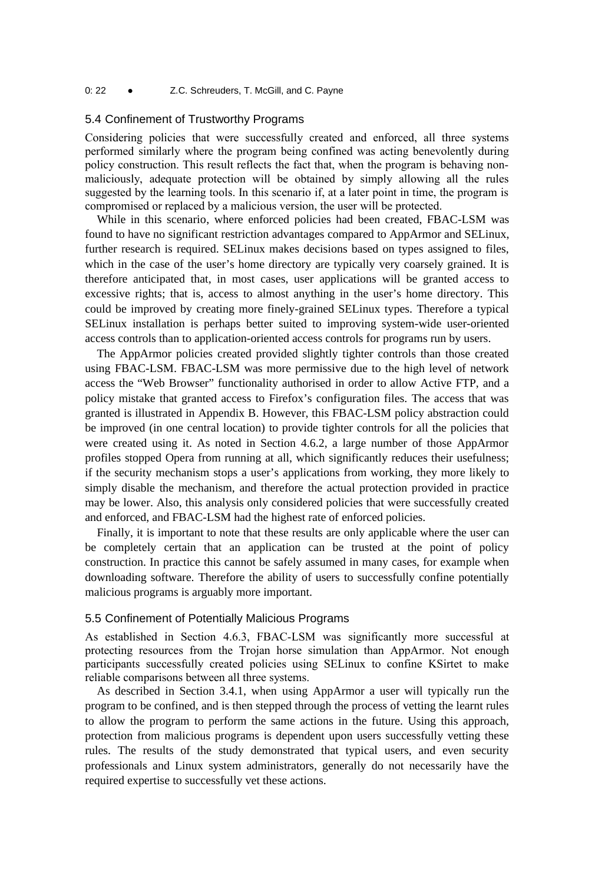#### 0: 22 • Z.C. Schreuders, T. McGill, and C. Payne

#### 5.4 Confinement of Trustworthy Programs

Considering policies that were successfully created and enforced, all three systems performed similarly where the program being confined was acting benevolently during policy construction. This result reflects the fact that, when the program is behaving nonmaliciously, adequate protection will be obtained by simply allowing all the rules suggested by the learning tools. In this scenario if, at a later point in time, the program is compromised or replaced by a malicious version, the user will be protected.

While in this scenario, where enforced policies had been created, FBAC-LSM was found to have no significant restriction advantages compared to AppArmor and SELinux, further research is required. SELinux makes decisions based on types assigned to files, which in the case of the user's home directory are typically very coarsely grained. It is therefore anticipated that, in most cases, user applications will be granted access to excessive rights; that is, access to almost anything in the user's home directory. This could be improved by creating more finely-grained SELinux types. Therefore a typical SELinux installation is perhaps better suited to improving system-wide user-oriented access controls than to application-oriented access controls for programs run by users.

The AppArmor policies created provided slightly tighter controls than those created using FBAC-LSM. FBAC-LSM was more permissive due to the high level of network access the "Web Browser" functionality authorised in order to allow Active FTP, and a policy mistake that granted access to Firefox's configuration files. The access that was granted is illustrated in Appendix B. However, this FBAC-LSM policy abstraction could be improved (in one central location) to provide tighter controls for all the policies that were created using it. As noted in Section 4.6.2, a large number of those AppArmor profiles stopped Opera from running at all, which significantly reduces their usefulness; if the security mechanism stops a user's applications from working, they more likely to simply disable the mechanism, and therefore the actual protection provided in practice may be lower. Also, this analysis only considered policies that were successfully created and enforced, and FBAC-LSM had the highest rate of enforced policies.

Finally, it is important to note that these results are only applicable where the user can be completely certain that an application can be trusted at the point of policy construction. In practice this cannot be safely assumed in many cases, for example when downloading software. Therefore the ability of users to successfully confine potentially malicious programs is arguably more important.

#### 5.5 Confinement of Potentially Malicious Programs

As established in Section 4.6.3, FBAC-LSM was significantly more successful at protecting resources from the Trojan horse simulation than AppArmor. Not enough participants successfully created policies using SELinux to confine KSirtet to make reliable comparisons between all three systems.

As described in Section 3.4.1, when using AppArmor a user will typically run the program to be confined, and is then stepped through the process of vetting the learnt rules to allow the program to perform the same actions in the future. Using this approach, protection from malicious programs is dependent upon users successfully vetting these rules. The results of the study demonstrated that typical users, and even security professionals and Linux system administrators, generally do not necessarily have the required expertise to successfully vet these actions.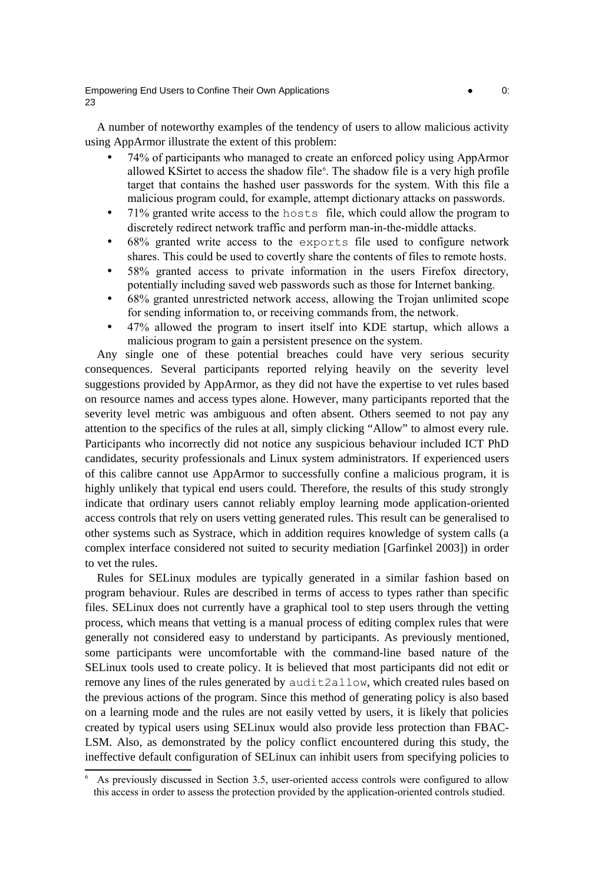A number of noteworthy examples of the tendency of users to allow malicious activity using AppArmor illustrate the extent of this problem:

- 74% of participants who managed to create an enforced policy using AppArmor allowed KSirtet to access the shadow file<sup>[6](#page-24-0)</sup>. The shadow file is a very high profile target that contains the hashed user passwords for the system. With this file a malicious program could, for example, attempt dictionary attacks on passwords.
- 71% granted write access to the hosts file, which could allow the program to discretely redirect network traffic and perform man-in-the-middle attacks.
- 68% granted write access to the exports file used to configure network shares. This could be used to covertly share the contents of files to remote hosts.
- 58% granted access to private information in the users Firefox directory, potentially including saved web passwords such as those for Internet banking.
- 68% granted unrestricted network access, allowing the Trojan unlimited scope for sending information to, or receiving commands from, the network.
- 47% allowed the program to insert itself into KDE startup, which allows a malicious program to gain a persistent presence on the system.

Any single one of these potential breaches could have very serious security consequences. Several participants reported relying heavily on the severity level suggestions provided by AppArmor, as they did not have the expertise to vet rules based on resource names and access types alone. However, many participants reported that the severity level metric was ambiguous and often absent. Others seemed to not pay any attention to the specifics of the rules at all, simply clicking "Allow" to almost every rule. Participants who incorrectly did not notice any suspicious behaviour included ICT PhD candidates, security professionals and Linux system administrators. If experienced users of this calibre cannot use AppArmor to successfully confine a malicious program, it is highly unlikely that typical end users could. Therefore, the results of this study strongly indicate that ordinary users cannot reliably employ learning mode application-oriented access controls that rely on users vetting generated rules. This result can be generalised to other systems such as Systrace, which in addition requires knowledge of system calls (a complex interface considered not suited to security mediation [Garfinkel 2003]) in order to vet the rules.

Rules for SELinux modules are typically generated in a similar fashion based on program behaviour. Rules are described in terms of access to types rather than specific files. SELinux does not currently have a graphical tool to step users through the vetting process, which means that vetting is a manual process of editing complex rules that were generally not considered easy to understand by participants. As previously mentioned, some participants were uncomfortable with the command-line based nature of the SELinux tools used to create policy. It is believed that most participants did not edit or remove any lines of the rules generated by audit2allow, which created rules based on the previous actions of the program. Since this method of generating policy is also based on a learning mode and the rules are not easily vetted by users, it is likely that policies created by typical users using SELinux would also provide less protection than FBAC-LSM. Also, as demonstrated by the policy conflict encountered during this study, the ineffective default configuration of SELinux can inhibit users from specifying policies to

<span id="page-24-0"></span><sup>6</sup> As previously discussed in Section 3.5, user-oriented access controls were configured to allow this access in order to assess the protection provided by the application-oriented controls studied.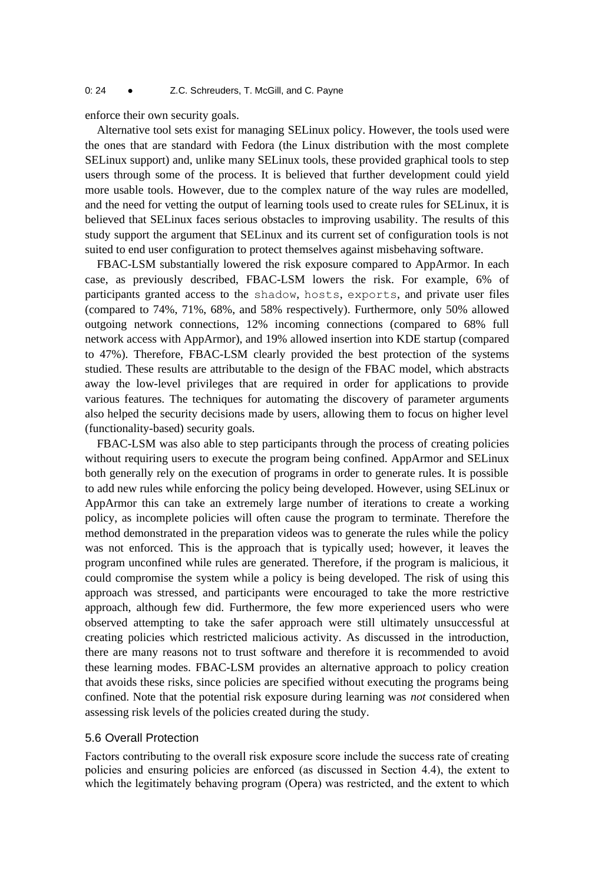#### 0: 24 • Z.C. Schreuders, T. McGill, and C. Payne

enforce their own security goals.

Alternative tool sets exist for managing SELinux policy. However, the tools used were the ones that are standard with Fedora (the Linux distribution with the most complete SELinux support) and, unlike many SELinux tools, these provided graphical tools to step users through some of the process. It is believed that further development could yield more usable tools. However, due to the complex nature of the way rules are modelled, and the need for vetting the output of learning tools used to create rules for SELinux, it is believed that SELinux faces serious obstacles to improving usability. The results of this study support the argument that SELinux and its current set of configuration tools is not suited to end user configuration to protect themselves against misbehaving software.

FBAC-LSM substantially lowered the risk exposure compared to AppArmor. In each case, as previously described, FBAC-LSM lowers the risk. For example, 6% of participants granted access to the shadow, hosts, exports, and private user files (compared to 74%, 71%, 68%, and 58% respectively). Furthermore, only 50% allowed outgoing network connections, 12% incoming connections (compared to 68% full network access with AppArmor), and 19% allowed insertion into KDE startup (compared to 47%). Therefore, FBAC-LSM clearly provided the best protection of the systems studied. These results are attributable to the design of the FBAC model, which abstracts away the low-level privileges that are required in order for applications to provide various features. The techniques for automating the discovery of parameter arguments also helped the security decisions made by users, allowing them to focus on higher level (functionality-based) security goals.

FBAC-LSM was also able to step participants through the process of creating policies without requiring users to execute the program being confined. AppArmor and SELinux both generally rely on the execution of programs in order to generate rules. It is possible to add new rules while enforcing the policy being developed. However, using SELinux or AppArmor this can take an extremely large number of iterations to create a working policy, as incomplete policies will often cause the program to terminate. Therefore the method demonstrated in the preparation videos was to generate the rules while the policy was not enforced. This is the approach that is typically used; however, it leaves the program unconfined while rules are generated. Therefore, if the program is malicious, it could compromise the system while a policy is being developed. The risk of using this approach was stressed, and participants were encouraged to take the more restrictive approach, although few did. Furthermore, the few more experienced users who were observed attempting to take the safer approach were still ultimately unsuccessful at creating policies which restricted malicious activity. As discussed in the introduction, there are many reasons not to trust software and therefore it is recommended to avoid these learning modes. FBAC-LSM provides an alternative approach to policy creation that avoids these risks, since policies are specified without executing the programs being confined. Note that the potential risk exposure during learning was *not* considered when assessing risk levels of the policies created during the study.

## 5.6 Overall Protection

Factors contributing to the overall risk exposure score include the success rate of creating policies and ensuring policies are enforced (as discussed in Section 4.4), the extent to which the legitimately behaving program (Opera) was restricted, and the extent to which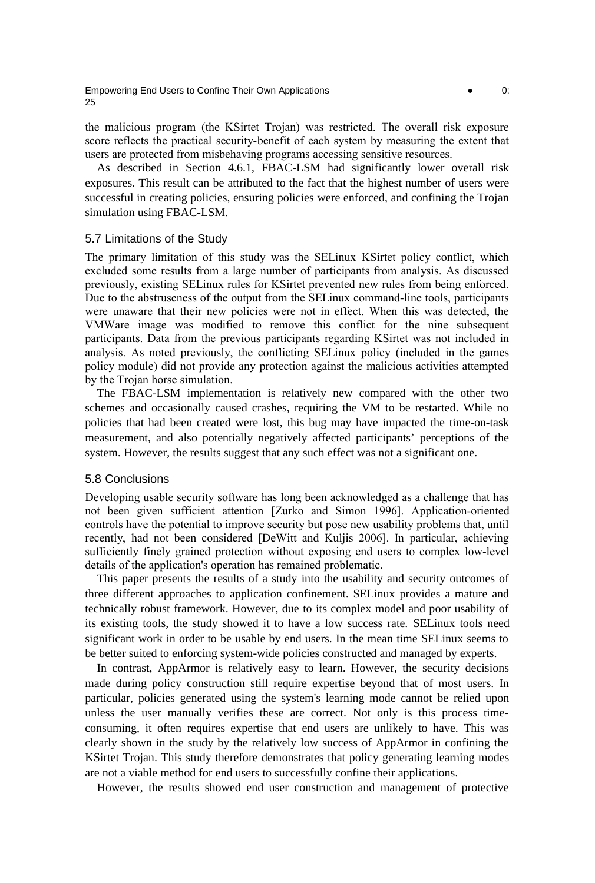the malicious program (the KSirtet Trojan) was restricted. The overall risk exposure score reflects the practical security-benefit of each system by measuring the extent that users are protected from misbehaving programs accessing sensitive resources.

As described in Section 4.6.1, FBAC-LSM had significantly lower overall risk exposures. This result can be attributed to the fact that the highest number of users were successful in creating policies, ensuring policies were enforced, and confining the Trojan simulation using FBAC-LSM.

## 5.7 Limitations of the Study

The primary limitation of this study was the SELinux KSirtet policy conflict, which excluded some results from a large number of participants from analysis. As discussed previously, existing SELinux rules for KSirtet prevented new rules from being enforced. Due to the abstruseness of the output from the SELinux command-line tools, participants were unaware that their new policies were not in effect. When this was detected, the VMWare image was modified to remove this conflict for the nine subsequent participants. Data from the previous participants regarding KSirtet was not included in analysis. As noted previously, the conflicting SELinux policy (included in the games policy module) did not provide any protection against the malicious activities attempted by the Trojan horse simulation.

The FBAC-LSM implementation is relatively new compared with the other two schemes and occasionally caused crashes, requiring the VM to be restarted. While no policies that had been created were lost, this bug may have impacted the time-on-task measurement, and also potentially negatively affected participants' perceptions of the system. However, the results suggest that any such effect was not a significant one.

# 5.8 Conclusions

Developing usable security software has long been acknowledged as a challenge that has not been given sufficient attention [Zurko and Simon 1996]. Application-oriented controls have the potential to improve security but pose new usability problems that, until recently, had not been considered [DeWitt and Kuljis 2006]. In particular, achieving sufficiently finely grained protection without exposing end users to complex low-level details of the application's operation has remained problematic.

This paper presents the results of a study into the usability and security outcomes of three different approaches to application confinement. SELinux provides a mature and technically robust framework. However, due to its complex model and poor usability of its existing tools, the study showed it to have a low success rate. SELinux tools need significant work in order to be usable by end users. In the mean time SELinux seems to be better suited to enforcing system-wide policies constructed and managed by experts.

In contrast, AppArmor is relatively easy to learn. However, the security decisions made during policy construction still require expertise beyond that of most users. In particular, policies generated using the system's learning mode cannot be relied upon unless the user manually verifies these are correct. Not only is this process timeconsuming, it often requires expertise that end users are unlikely to have. This was clearly shown in the study by the relatively low success of AppArmor in confining the KSirtet Trojan. This study therefore demonstrates that policy generating learning modes are not a viable method for end users to successfully confine their applications.

However, the results showed end user construction and management of protective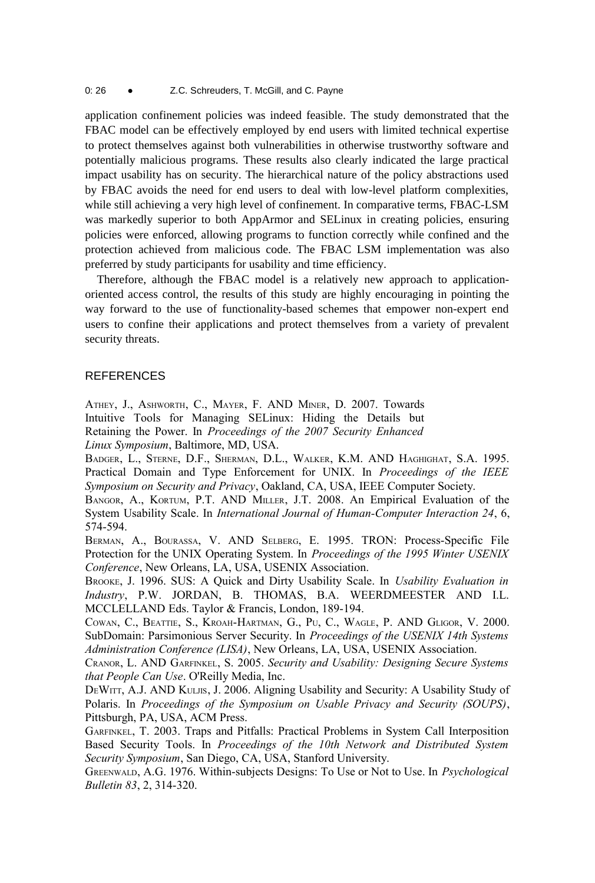0: 26 • Z.C. Schreuders, T. McGill, and C. Payne

application confinement policies was indeed feasible. The study demonstrated that the FBAC model can be effectively employed by end users with limited technical expertise to protect themselves against both vulnerabilities in otherwise trustworthy software and potentially malicious programs. These results also clearly indicated the large practical impact usability has on security. The hierarchical nature of the policy abstractions used by FBAC avoids the need for end users to deal with low-level platform complexities, while still achieving a very high level of confinement. In comparative terms, FBAC-LSM was markedly superior to both AppArmor and SELinux in creating policies, ensuring policies were enforced, allowing programs to function correctly while confined and the protection achieved from malicious code. The FBAC LSM implementation was also preferred by study participants for usability and time efficiency.

Therefore, although the FBAC model is a relatively new approach to applicationoriented access control, the results of this study are highly encouraging in pointing the way forward to the use of functionality-based schemes that empower non-expert end users to confine their applications and protect themselves from a variety of prevalent security threats.

# **REFERENCES**

ATHEY, J., ASHWORTH, C., MAYER, F. AND MINER, D. 2007. Towards Intuitive Tools for Managing SELinux: Hiding the Details but Retaining the Power. In *Proceedings of the 2007 Security Enhanced Linux Symposium*, Baltimore, MD, USA.

BADGER, L., STERNE, D.F., SHERMAN, D.L., WALKER, K.M. AND HAGHIGHAT, S.A. 1995. Practical Domain and Type Enforcement for UNIX. In *Proceedings of the IEEE Symposium on Security and Privacy*, Oakland, CA, USA, IEEE Computer Society.

BANGOR, A., KORTUM, P.T. AND MILLER, J.T. 2008. An Empirical Evaluation of the System Usability Scale. In *International Journal of Human-Computer Interaction 24*, 6, 574-594.

BERMAN, A., BOURASSA, V. AND SELBERG, E. 1995. TRON: Process-Specific File Protection for the UNIX Operating System. In *Proceedings of the 1995 Winter USENIX Conference*, New Orleans, LA, USA, USENIX Association.

BROOKE, J. 1996. SUS: A Quick and Dirty Usability Scale. In *Usability Evaluation in Industry*, P.W. JORDAN, B. THOMAS, B.A. WEERDMEESTER AND I.L. MCCLELLAND Eds. Taylor & Francis, London, 189-194.

COWAN, C., BEATTIE, S., KROAH-HARTMAN, G., PU, C., WAGLE, P. AND GLIGOR, V. 2000. SubDomain: Parsimonious Server Security. In *Proceedings of the USENIX 14th Systems Administration Conference (LISA)*, New Orleans, LA, USA, USENIX Association.

CRANOR, L. AND GARFINKEL, S. 2005. *Security and Usability: Designing Secure Systems that People Can Use*. O'Reilly Media, Inc.

DEWITT, A.J. AND KULJIS, J. 2006. Aligning Usability and Security: A Usability Study of Polaris. In *Proceedings of the Symposium on Usable Privacy and Security (SOUPS)*, Pittsburgh, PA, USA, ACM Press.

GARFINKEL, T. 2003. Traps and Pitfalls: Practical Problems in System Call Interposition Based Security Tools. In *Proceedings of the 10th Network and Distributed System Security Symposium*, San Diego, CA, USA, Stanford University.

GREENWALD, A.G. 1976. Within-subjects Designs: To Use or Not to Use. In *Psychological Bulletin 83*, 2, 314-320.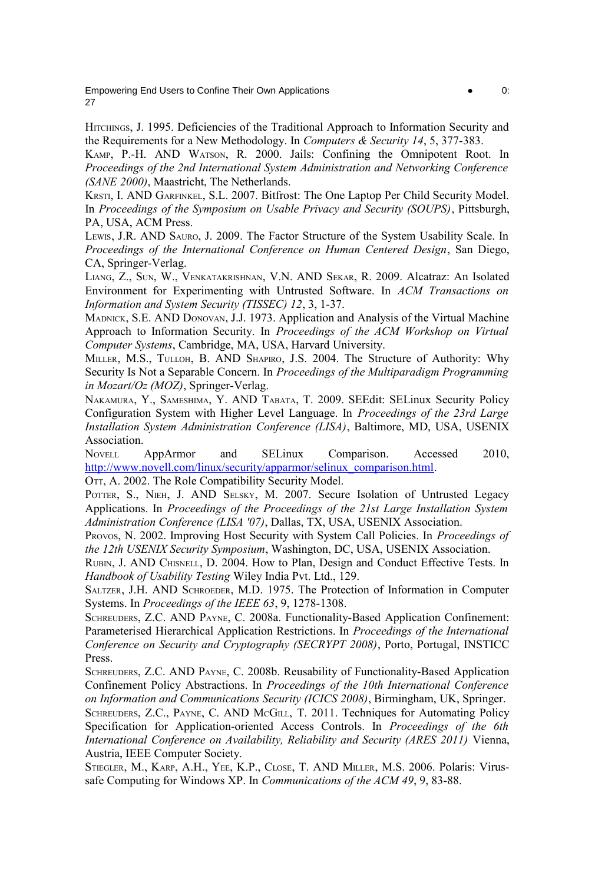HITCHINGS, J. 1995. Deficiencies of the Traditional Approach to Information Security and the Requirements for a New Methodology. In *Computers & Security 14*, 5, 377-383.

KAMP, P.-H. AND WATSON, R. 2000. Jails: Confining the Omnipotent Root. In *Proceedings of the 2nd International System Administration and Networking Conference (SANE 2000)*, Maastricht, The Netherlands.

KRSTI, I. AND GARFINKEL, S.L. 2007. Bitfrost: The One Laptop Per Child Security Model. In *Proceedings of the Symposium on Usable Privacy and Security (SOUPS)*, Pittsburgh, PA, USA, ACM Press.

LEWIS, J.R. AND SAURO, J. 2009. The Factor Structure of the System Usability Scale. In *Proceedings of the International Conference on Human Centered Design*, San Diego, CA, Springer-Verlag.

LIANG, Z., SUN, W., VENKATAKRISHNAN, V.N. AND SEKAR, R. 2009. Alcatraz: An Isolated Environment for Experimenting with Untrusted Software. In *ACM Transactions on Information and System Security (TISSEC) 12*, 3, 1-37.

MADNICK, S.E. AND DONOVAN, J.J. 1973. Application and Analysis of the Virtual Machine Approach to Information Security. In *Proceedings of the ACM Workshop on Virtual Computer Systems*, Cambridge, MA, USA, Harvard University.

MILLER, M.S., TULLOH, B. AND SHAPIRO, J.S. 2004. The Structure of Authority: Why Security Is Not a Separable Concern. In *Proceedings of the Multiparadigm Programming in Mozart/Oz (MOZ)*, Springer-Verlag.

NAKAMURA, Y., SAMESHIMA, Y. AND TABATA, T. 2009. SEEdit: SELinux Security Policy Configuration System with Higher Level Language. In *Proceedings of the 23rd Large Installation System Administration Conference (LISA)*, Baltimore, MD, USA, USENIX Association.

NOVELL AppArmor and SELinux Comparison. Accessed 2010, [http://www.novell.com/linux/security/apparmor/selinux\\_comparison.html.](http://www.novell.com/linux/security/apparmor/selinux_comparison.html)

OTT, A. 2002. The Role Compatibility Security Model.

POTTER, S., NIEH, J. AND SELSKY, M. 2007. Secure Isolation of Untrusted Legacy Applications. In *Proceedings of the Proceedings of the 21st Large Installation System Administration Conference (LISA '07)*, Dallas, TX, USA, USENIX Association.

PROVOS, N. 2002. Improving Host Security with System Call Policies. In *Proceedings of the 12th USENIX Security Symposium*, Washington, DC, USA, USENIX Association.

RUBIN, J. AND CHISNELL, D. 2004. How to Plan, Design and Conduct Effective Tests. In *Handbook of Usability Testing* Wiley India Pvt. Ltd., 129.

SALTZER, J.H. AND SCHROEDER, M.D. 1975. The Protection of Information in Computer Systems. In *Proceedings of the IEEE 63*, 9, 1278-1308.

SCHREUDERS, Z.C. AND PAYNE, C. 2008a. Functionality-Based Application Confinement: Parameterised Hierarchical Application Restrictions. In *Proceedings of the International Conference on Security and Cryptography (SECRYPT 2008)*, Porto, Portugal, INSTICC Press.

SCHREUDERS, Z.C. AND PAYNE, C. 2008b. Reusability of Functionality-Based Application Confinement Policy Abstractions. In *Proceedings of the 10th International Conference on Information and Communications Security (ICICS 2008)*, Birmingham, UK, Springer.

SCHREUDERS, Z.C., PAYNE, C. AND MCGILL, T. 2011. Techniques for Automating Policy Specification for Application-oriented Access Controls. In *Proceedings of the 6th International Conference on Availability, Reliability and Security (ARES 2011)* Vienna, Austria, IEEE Computer Society.

STIEGLER, M., KARP, A.H., YEE, K.P., CLOSE, T. AND MILLER, M.S. 2006. Polaris: Virussafe Computing for Windows XP. In *Communications of the ACM 49*, 9, 83-88.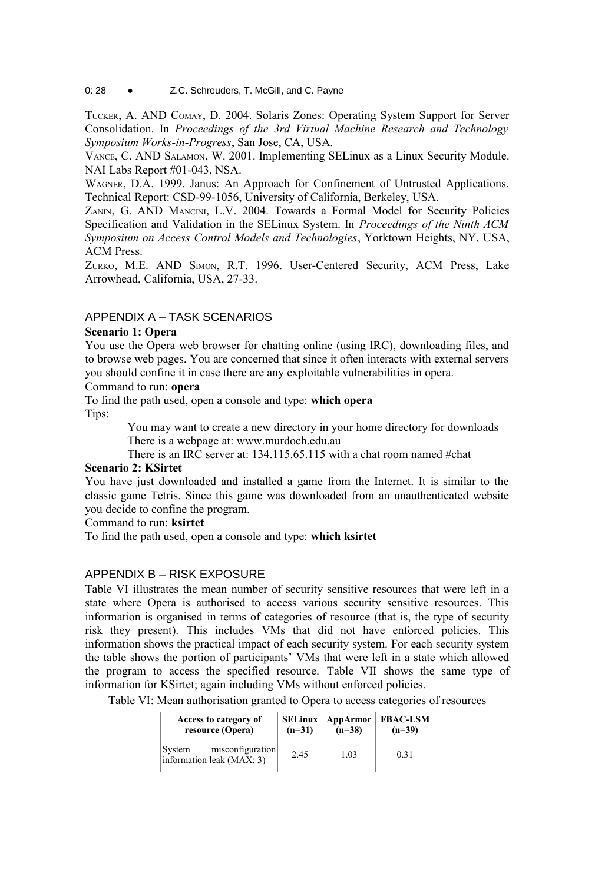0: 28 • Z.C. Schreuders, T. McGill, and C. Payne

TUCKER, A. AND COMAY, D. 2004. Solaris Zones: Operating System Support for Server Consolidation. In *Proceedings of the 3rd Virtual Machine Research and Technology Symposium Works-in-Progress*, San Jose, CA, USA.

VANCE, C. AND SALAMON, W. 2001. Implementing SELinux as a Linux Security Module. NAI Labs Report #01-043, NSA.

WAGNER, D.A. 1999. Janus: An Approach for Confinement of Untrusted Applications. Technical Report: CSD-99-1056, University of California, Berkeley, USA.

ZANIN, G. AND MANCINI, L.V. 2004. Towards a Formal Model for Security Policies Specification and Validation in the SELinux System. In *Proceedings of the Ninth ACM Symposium on Access Control Models and Technologies*, Yorktown Heights, NY, USA, ACM Press.

ZURKO, M.E. AND SIMON, R.T. 1996. User-Centered Security, ACM Press, Lake Arrowhead, California, USA, 27-33.

# APPENDIX A – TASK SCENARIOS

#### **Scenario 1: Opera**

You use the Opera web browser for chatting online (using IRC), downloading files, and to browse web pages. You are concerned that since it often interacts with external servers you should confine it in case there are any exploitable vulnerabilities in opera.

Command to run: **opera**

To find the path used, open a console and type: **which opera**

Tips:

You may want to create a new directory in your home directory for downloads There is a webpage at: www.murdoch.edu.au

There is an IRC server at: 134.115.65.115 with a chat room named #chat

#### **Scenario 2: KSirtet**

You have just downloaded and installed a game from the Internet. It is similar to the classic game Tetris. Since this game was downloaded from an unauthenticated website you decide to confine the program.

# Command to run: **ksirtet**

To find the path used, open a console and type: **which ksirtet**

# APPENDIX B – RISK EXPOSURE

[Table VI](#page-29-0) illustrates the mean number of security sensitive resources that were left in a state where Opera is authorised to access various security sensitive resources. This information is organised in terms of categories of resource (that is, the type of security risk they present). This includes VMs that did not have enforced policies. This information shows the practical impact of each security system. For each security system the table shows the portion of participants' VMs that were left in a state which allowed the program to access the specified resource. [Table VII](#page-30-0) shows the same type of information for KSirtet; again including VMs without enforced policies.

<span id="page-29-0"></span>Table VI: Mean authorisation granted to Opera to access categories of resources

| Access to category of                                   | <b>SELinux</b> | AppArmor | <b>FBAC-LSM</b> |
|---------------------------------------------------------|----------------|----------|-----------------|
| resource (Opera)                                        | $(n=31)$       | $(n=38)$ | $(n=39)$        |
| misconfiguration<br>System<br>information leak (MAX: 3) | 2.45           | 1.03     | 0.31            |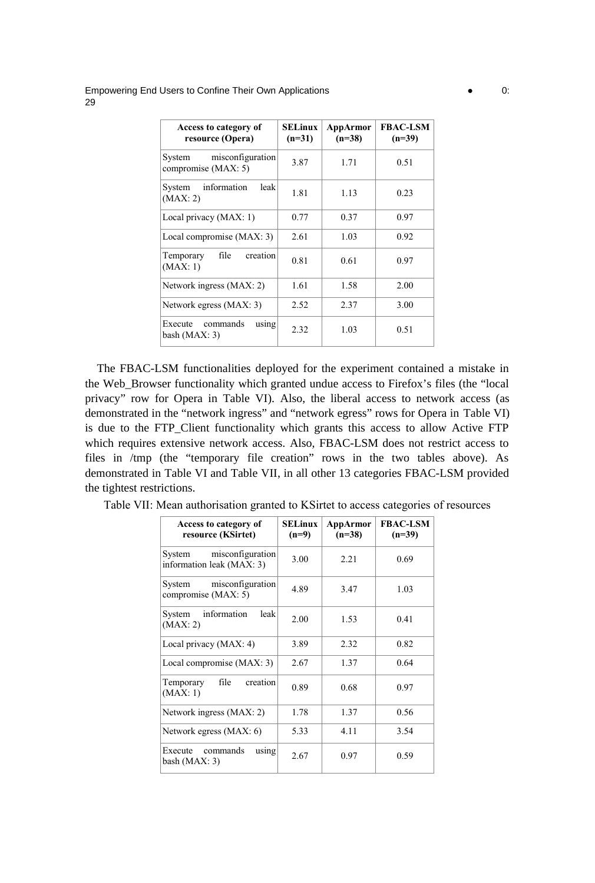| Access to category of<br>resource (Opera)         | <b>SELinux</b><br>$(n=31)$ | AppArmor<br>$(n=38)$ | <b>FBAC-LSM</b><br>$(n=39)$ |
|---------------------------------------------------|----------------------------|----------------------|-----------------------------|
| misconfiguration<br>System<br>compromise (MAX: 5) | 3.87                       | 1.71                 | 0.51                        |
| information<br>leak<br>System<br>(MAX: 2)         | 1.81                       | 1.13                 | 0.23                        |
| Local privacy (MAX: 1)                            | 0.77                       | 0.37                 | 0.97                        |
| Local compromise (MAX: 3)                         | 2.61                       | 1.03                 | 0.92                        |
| file<br>creation<br>Temporary<br>(MAX:1)          | 0.81                       | 0.61                 | 0.97                        |
| Network ingress (MAX: 2)                          | 1.61                       | 1.58                 | 2.00                        |
| Network egress (MAX: 3)                           | 2.52                       | 2.37                 | 3.00                        |
| commands<br>Execute<br>using<br>bash (MAX: 3)     | 2.32                       | 1.03                 | 0.51                        |

The FBAC-LSM functionalities deployed for the experiment contained a mistake in the Web\_Browser functionality which granted undue access to Firefox's files (the "local privacy" row for Opera in [Table VI\)](#page-29-0). Also, the liberal access to network access (as demonstrated in the "network ingress" and "network egress" rows for Opera in [Table VI\)](#page-29-0) is due to the FTP\_Client functionality which grants this access to allow Active FTP which requires extensive network access. Also, FBAC-LSM does not restrict access to files in /tmp (the "temporary file creation" rows in the two tables above). As demonstrated in [Table VI](#page-29-0) and [Table VII,](#page-30-0) in all other 13 categories FBAC-LSM provided the tightest restrictions.

| Access to category of<br>resource (KSirtet)             | <b>SELinux</b><br>$(n=9)$ | AppArmor<br>$(n=38)$ | <b>FBAC-LSM</b><br>$(n=39)$ |
|---------------------------------------------------------|---------------------------|----------------------|-----------------------------|
| misconfiguration<br>System<br>information leak (MAX: 3) | 3.00                      | 2.21                 | 0.69                        |
| misconfiguration<br>System<br>compromise (MAX: 5)       | 4.89                      | 3.47                 | 1.03                        |
| information<br>leak<br>System<br>(MAX: 2)               | 2.00                      | 1.53                 | 0.41                        |
| Local privacy (MAX: 4)                                  | 3.89                      | 2.32                 | 0.82                        |
| Local compromise (MAX: 3)                               | 2.67                      | 137                  | 0.64                        |
| file<br>creation<br>Temporary<br>(MAX:1)                | 0.89                      | 0.68                 | 0.97                        |
| Network ingress (MAX: 2)                                | 1.78                      | 1.37                 | 0.56                        |
| Network egress (MAX: 6)                                 | 5.33                      | 4 1 1                | 3.54                        |
| Execute commands<br>using<br>bash (MAX: 3)              | 2.67                      | 0.97                 | 0.59                        |

<span id="page-30-0"></span>Table VII: Mean authorisation granted to KSirtet to access categories of resources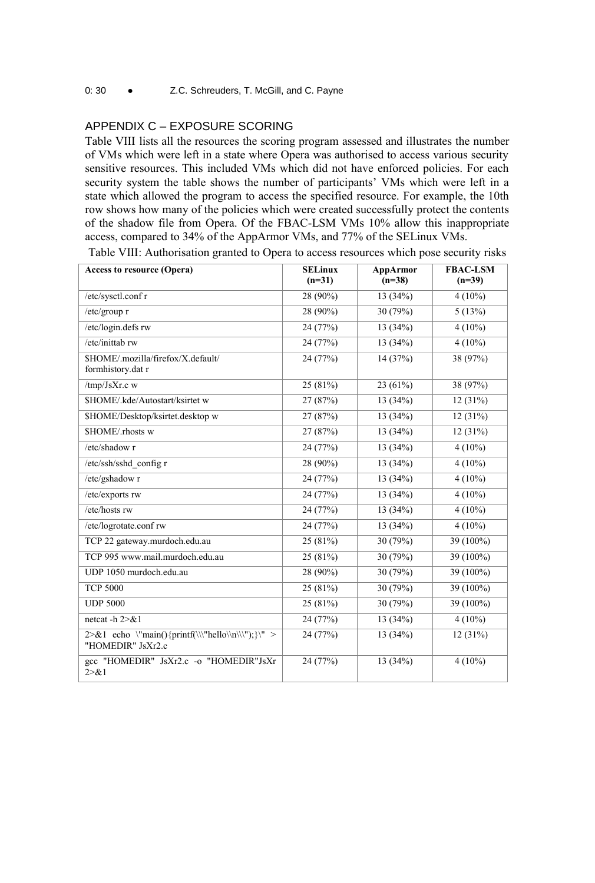#### 0: 30 • Z.C. Schreuders, T. McGill, and C. Payne

# APPENDIX C – EXPOSURE SCORING

[Table VIII](#page-31-0) lists all the resources the scoring program assessed and illustrates the number of VMs which were left in a state where Opera was authorised to access various security sensitive resources. This included VMs which did not have enforced policies. For each security system the table shows the number of participants' VMs which were left in a state which allowed the program to access the specified resource. For example, the 10th row shows how many of the policies which were created successfully protect the contents of the shadow file from Opera. Of the FBAC-LSM VMs 10% allow this inappropriate access, compared to 34% of the AppArmor VMs, and 77% of the SELinux VMs.

<span id="page-31-0"></span>Table VIII: Authorisation granted to Opera to access resources which pose security risks

| <b>Access to resource (Opera)</b>                                         | <b>SELinux</b><br>$(n=31)$ | <b>AppArmor</b><br>$(n=38)$ | <b>FBAC-LSM</b><br>$(n=39)$ |
|---------------------------------------------------------------------------|----------------------------|-----------------------------|-----------------------------|
| /etc/sysctl.conf r                                                        | 28 (90%)                   | 13 (34%)                    | $4(10\%)$                   |
| $\sqrt{\text{etc}}/\text{group r}$                                        | 28 (90%)                   | 30 (79%)                    | 5(13%)                      |
| /etc/login.defs rw                                                        | 24 (77%)                   | 13(34%)                     | $4(10\%)$                   |
| /etc/inittab rw                                                           | 24 (77%)                   | 13 (34%)                    | $4(10\%)$                   |
| \$HOME/.mozilla/firefox/X.default/<br>formhistory.dat r                   | 24 (77%)                   | 14(37%)                     | 38 (97%)                    |
| /tmp/JsXr.c w                                                             | 25(81%)                    | 23(61%)                     | 38 (97%)                    |
| \$HOME/.kde/Autostart/ksirtet w                                           | 27 (87%)                   | 13 (34%)                    | 12(31%)                     |
| \$HOME/Desktop/ksirtet.desktop w                                          | 27 (87%)                   | 13(34%)                     | 12(31%)                     |
| \$HOME/.rhosts w                                                          | 27 (87%)                   | 13 (34%)                    | 12(31%)                     |
| /etc/shadow r                                                             | 24 (77%)                   | 13 (34%)                    | $4(10\%)$                   |
| /etc/ssh/sshd config r                                                    | 28 (90%)                   | 13(34%)                     | $4(10\%)$                   |
| /etc/gshadow r                                                            | 24 (77%)                   | 13(34%)                     | $4(10\%)$                   |
| /etc/exports rw                                                           | 24 (77%)                   | 13(34%)                     | $4(10\%)$                   |
| /etc/hosts rw                                                             | 24 (77%)                   | 13 (34%)                    | $4(10\%)$                   |
| /etc/logrotate.conf rw                                                    | 24 (77%)                   | 13 (34%)                    | $4(10\%)$                   |
| TCP 22 gateway.murdoch.edu.au                                             | 25(81%)                    | 30 (79%)                    | 39 (100%)                   |
| TCP 995 www.mail.murdoch.edu.au                                           | 25 (81%)                   | 30 (79%)                    | 39 (100%)                   |
| UDP 1050 murdoch.edu.au                                                   | 28 (90%)                   | 30 (79%)                    | 39 (100%)                   |
| <b>TCP 5000</b>                                                           | 25 (81%)                   | 30 (79%)                    | 39 (100%)                   |
| <b>UDP 5000</b>                                                           | 25 (81%)                   | 30 (79%)                    | 39 (100%)                   |
| netcat -h $2 > 81$                                                        | 24 (77%)                   | 13 (34%)                    | $4(10\%)$                   |
| $2 > 2$ echo \"main(){printf(\\\"hello\\n\\\");}\" ><br>"HOMEDIR" JsXr2.c | 24 (77%)                   | 13(34%)                     | 12(31%)                     |
| gcc "HOMEDIR" JsXr2.c -o "HOMEDIR"JsXr<br>2 > 81                          | 24 (77%)                   | 13(34%)                     | $4(10\%)$                   |